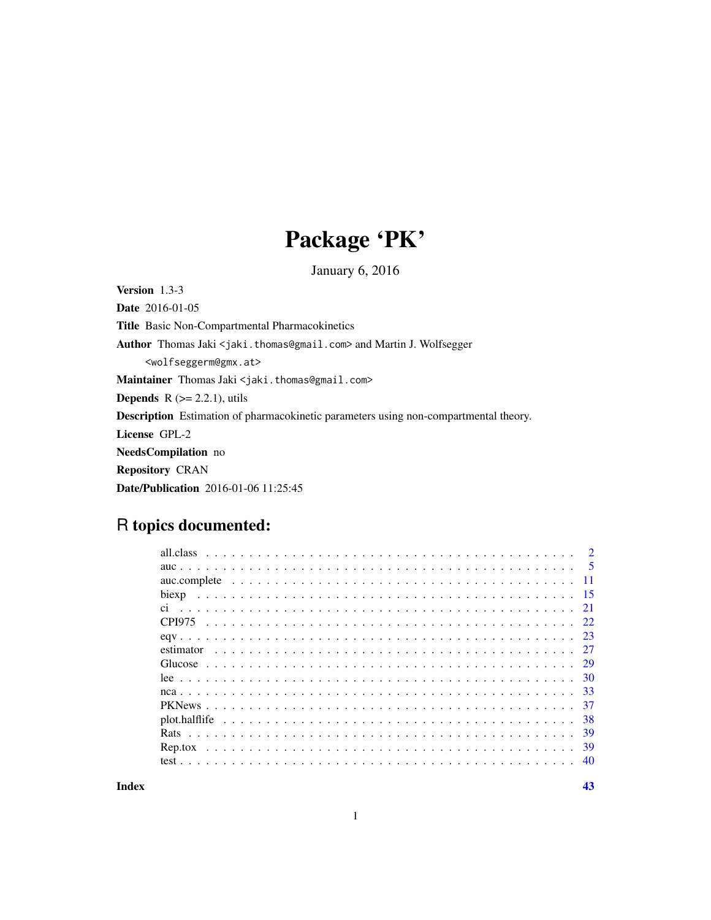## Package 'PK'

January 6, 2016

Version 1.3-3 Date 2016-01-05 Title Basic Non-Compartmental Pharmacokinetics Author Thomas Jaki <jaki.thomas@gmail.com> and Martin J. Wolfsegger <wolfseggerm@gmx.at> Maintainer Thomas Jaki <jaki.thomas@gmail.com> **Depends**  $R$  ( $>= 2.2.1$ ), utils Description Estimation of pharmacokinetic parameters using non-compartmental theory. License GPL-2 NeedsCompilation no Repository CRAN Date/Publication 2016-01-06 11:25:45

### R topics documented:

| Index |       |  |  |  |  |  |  |  |  |  |  |  |  |  |  |  |  |  | 43 |
|-------|-------|--|--|--|--|--|--|--|--|--|--|--|--|--|--|--|--|--|----|
|       |       |  |  |  |  |  |  |  |  |  |  |  |  |  |  |  |  |  |    |
|       |       |  |  |  |  |  |  |  |  |  |  |  |  |  |  |  |  |  |    |
|       |       |  |  |  |  |  |  |  |  |  |  |  |  |  |  |  |  |  |    |
|       |       |  |  |  |  |  |  |  |  |  |  |  |  |  |  |  |  |  |    |
|       |       |  |  |  |  |  |  |  |  |  |  |  |  |  |  |  |  |  |    |
|       |       |  |  |  |  |  |  |  |  |  |  |  |  |  |  |  |  |  |    |
|       |       |  |  |  |  |  |  |  |  |  |  |  |  |  |  |  |  |  |    |
|       |       |  |  |  |  |  |  |  |  |  |  |  |  |  |  |  |  |  |    |
|       |       |  |  |  |  |  |  |  |  |  |  |  |  |  |  |  |  |  |    |
|       |       |  |  |  |  |  |  |  |  |  |  |  |  |  |  |  |  |  |    |
|       |       |  |  |  |  |  |  |  |  |  |  |  |  |  |  |  |  |  |    |
|       |       |  |  |  |  |  |  |  |  |  |  |  |  |  |  |  |  |  |    |
|       | biexp |  |  |  |  |  |  |  |  |  |  |  |  |  |  |  |  |  |    |
|       |       |  |  |  |  |  |  |  |  |  |  |  |  |  |  |  |  |  |    |
|       |       |  |  |  |  |  |  |  |  |  |  |  |  |  |  |  |  |  |    |
|       |       |  |  |  |  |  |  |  |  |  |  |  |  |  |  |  |  |  |    |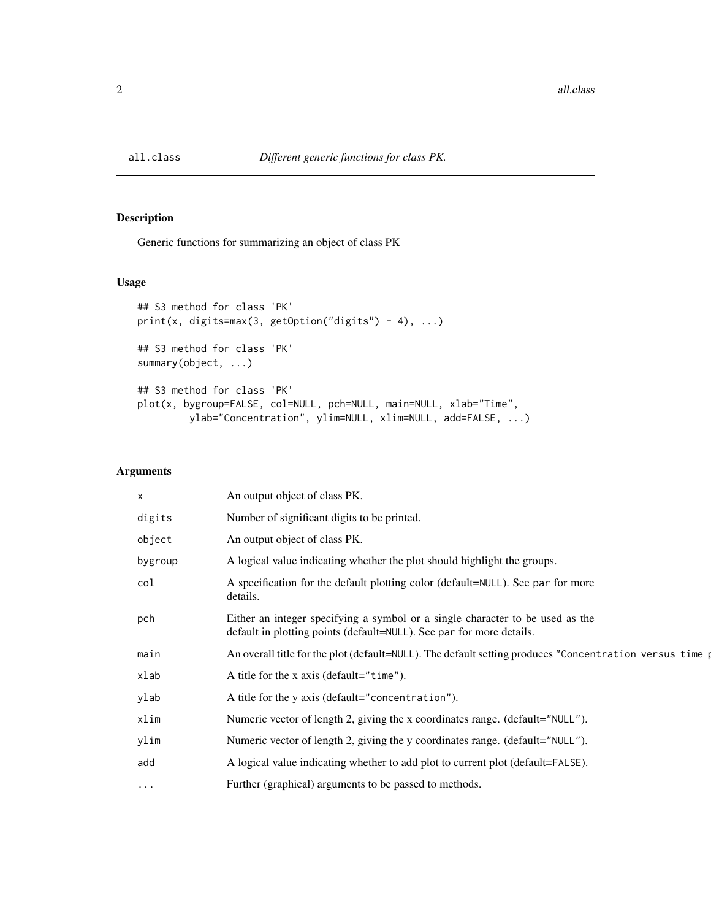<span id="page-1-0"></span>

#### Description

Generic functions for summarizing an object of class PK

#### Usage

```
## S3 method for class 'PK'
print(x, digits=max(3, getOption("digits") - 4), ...)## S3 method for class 'PK'
summary(object, ...)
## S3 method for class 'PK'
plot(x, bygroup=FALSE, col=NULL, pch=NULL, main=NULL, xlab="Time",
        ylab="Concentration", ylim=NULL, xlim=NULL, add=FALSE, ...)
```
#### Arguments

| $\times$ | An output object of class PK.                                                                                                                         |
|----------|-------------------------------------------------------------------------------------------------------------------------------------------------------|
| digits   | Number of significant digits to be printed.                                                                                                           |
| object   | An output object of class PK.                                                                                                                         |
| bygroup  | A logical value indicating whether the plot should highlight the groups.                                                                              |
| col      | A specification for the default plotting color (default=NULL). See par for more<br>details.                                                           |
| pch      | Either an integer specifying a symbol or a single character to be used as the<br>default in plotting points (default=NULL). See par for more details. |
| main     | An overall title for the plot (default=NULL). The default setting produces "Concentration versus time p                                               |
| xlab     | A title for the x axis (default=" $time$ ").                                                                                                          |
| ylab     | A title for the y axis (default="concentration").                                                                                                     |
| xlim     | Numeric vector of length 2, giving the x coordinates range. (default="NULL").                                                                         |
| ylim     | Numeric vector of length 2, giving the y coordinates range. (default="NULL").                                                                         |
| add      | A logical value indicating whether to add plot to current plot (default=FALSE).                                                                       |
| $\cdots$ | Further (graphical) arguments to be passed to methods.                                                                                                |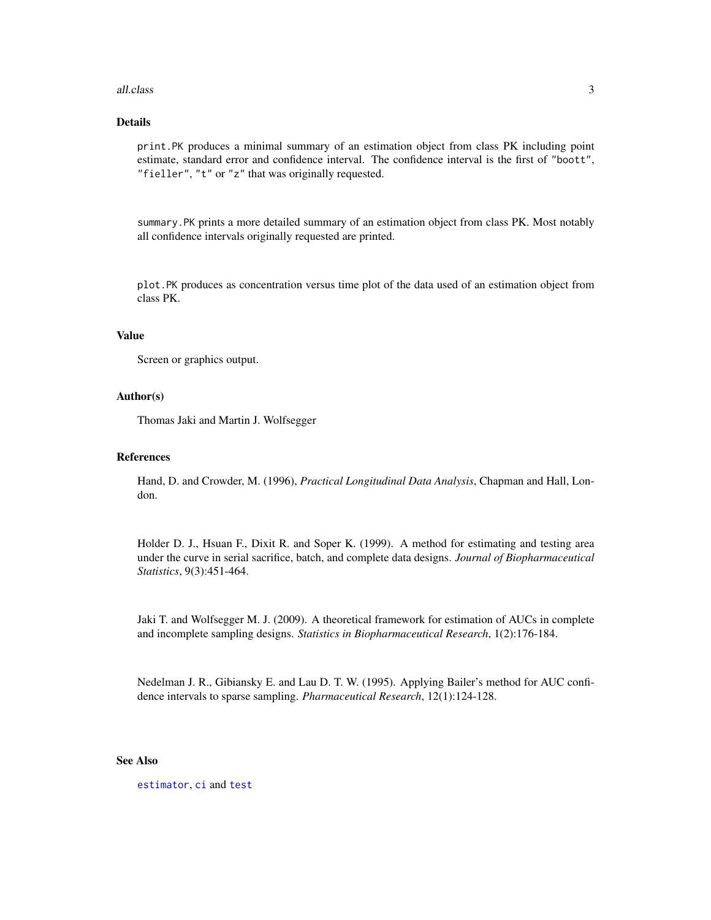#### <span id="page-2-0"></span>all.class 3

#### Details

print.PK produces a minimal summary of an estimation object from class PK including point estimate, standard error and confidence interval. The confidence interval is the first of "boott", "fieller", "t" or "z" that was originally requested.

summary. PK prints a more detailed summary of an estimation object from class PK. Most notably all confidence intervals originally requested are printed.

plot.PK produces as concentration versus time plot of the data used of an estimation object from class PK.

#### Value

Screen or graphics output.

#### Author(s)

Thomas Jaki and Martin J. Wolfsegger

#### References

Hand, D. and Crowder, M. (1996), *Practical Longitudinal Data Analysis*, Chapman and Hall, London.

Holder D. J., Hsuan F., Dixit R. and Soper K. (1999). A method for estimating and testing area under the curve in serial sacrifice, batch, and complete data designs. *Journal of Biopharmaceutical Statistics*, 9(3):451-464.

Jaki T. and Wolfsegger M. J. (2009). A theoretical framework for estimation of AUCs in complete and incomplete sampling designs. *Statistics in Biopharmaceutical Research*, 1(2):176-184.

Nedelman J. R., Gibiansky E. and Lau D. T. W. (1995). Applying Bailer's method for AUC confidence intervals to sparse sampling. *Pharmaceutical Research*, 12(1):124-128.

#### See Also

[estimator](#page-26-1), [ci](#page-20-1) and [test](#page-39-1)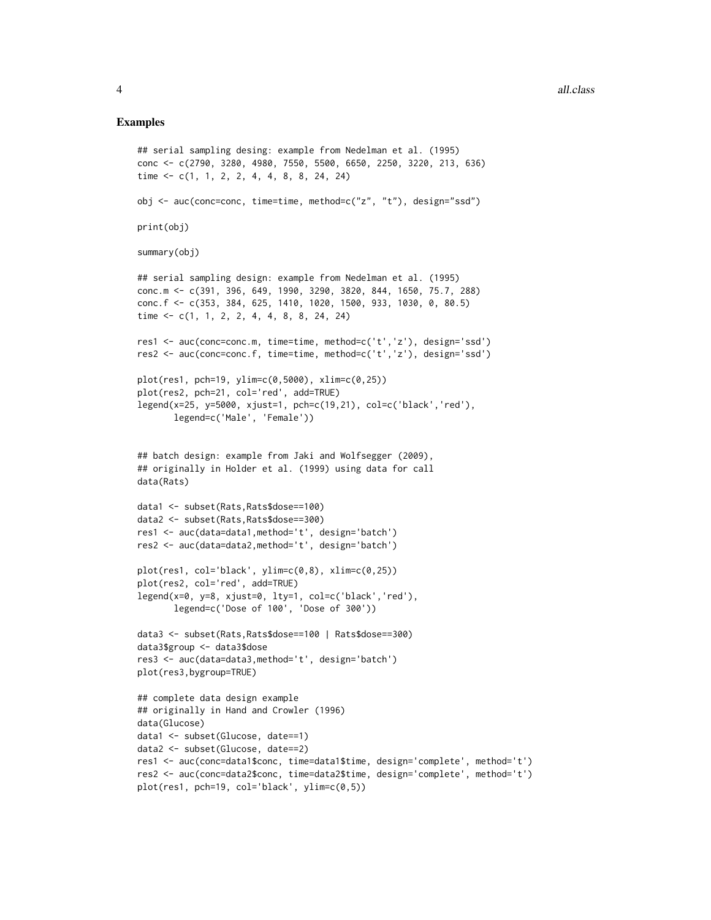#### Examples

```
## serial sampling desing: example from Nedelman et al. (1995)
conc <- c(2790, 3280, 4980, 7550, 5500, 6650, 2250, 3220, 213, 636)
time <- c(1, 1, 2, 2, 4, 4, 8, 8, 24, 24)
obj <- auc(conc=conc, time=time, method=c("z", "t"), design="ssd")
print(obj)
summary(obj)
## serial sampling design: example from Nedelman et al. (1995)
conc.m <- c(391, 396, 649, 1990, 3290, 3820, 844, 1650, 75.7, 288)
conc.f <- c(353, 384, 625, 1410, 1020, 1500, 933, 1030, 0, 80.5)
time <- c(1, 1, 2, 2, 4, 4, 8, 8, 24, 24)
res1 <- auc(conc=conc.m, time=time, method=c('t','z'), design='ssd')
res2 <- auc(conc=conc.f, time=time, method=c('t','z'), design='ssd')
plot(res1, pch=19, ylim=c(0,5000), xlim=c(0,25))
plot(res2, pch=21, col='red', add=TRUE)
legend(x=25, y=5000, xjust=1, pch=c(19,21), col=c('black','red'),
       legend=c('Male', 'Female'))
## batch design: example from Jaki and Wolfsegger (2009),
## originally in Holder et al. (1999) using data for call
data(Rats)
data1 <- subset(Rats,Rats$dose==100)
data2 <- subset(Rats,Rats$dose==300)
res1 <- auc(data=data1,method='t', design='batch')
res2 <- auc(data=data2,method='t', design='batch')
plot(res1, col='black', ylim=c(0,8), xlim=c(0,25))
plot(res2, col='red', add=TRUE)
legend(x=0, y=8, xjust=0, lty=1, col=c('black','red'),
       legend=c('Dose of 100', 'Dose of 300'))
data3 <- subset(Rats,Rats$dose==100 | Rats$dose==300)
data3$group <- data3$dose
res3 <- auc(data=data3,method='t', design='batch')
plot(res3,bygroup=TRUE)
## complete data design example
## originally in Hand and Crowler (1996)
data(Glucose)
data1 <- subset(Glucose, date==1)
data2 <- subset(Glucose, date==2)
res1 <- auc(conc=data1$conc, time=data1$time, design='complete', method='t')
res2 <- auc(conc=data2$conc, time=data2$time, design='complete', method='t')
plot(res1, pch=19, col='black', ylim=c(0,5))
```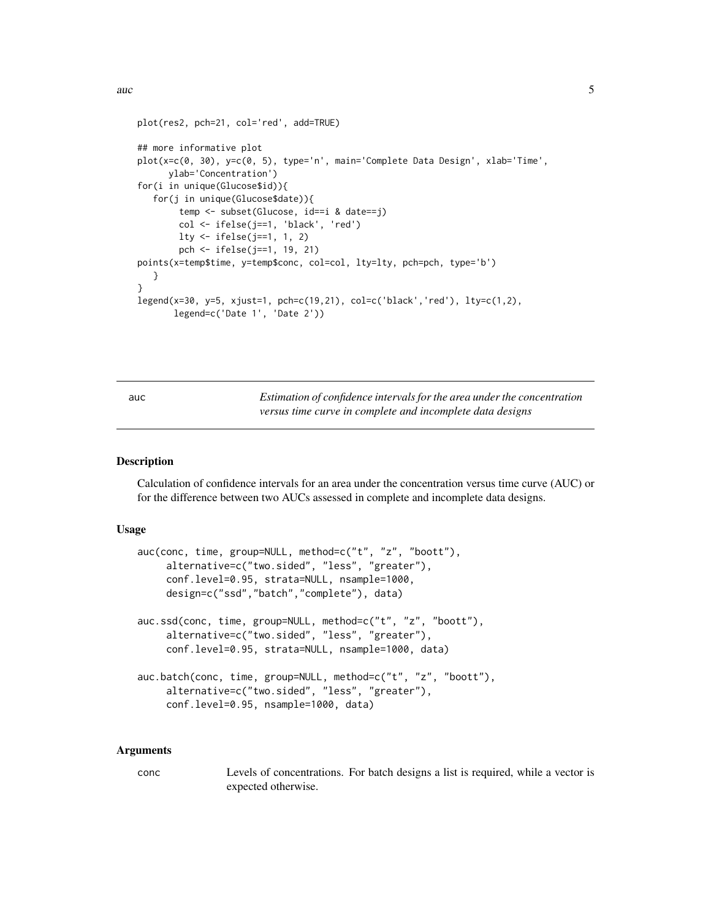```
\frac{1}{5} auch \frac{5}{5}
```

```
plot(res2, pch=21, col='red', add=TRUE)
## more informative plot
plot(x=c(0, 30), y=c(0, 5), type='n', main='Complete Data Design', xlab='Time',
     ylab='Concentration')
for(i in unique(Glucose$id)){
   for(j in unique(Glucose$date)){
        temp <- subset(Glucose, id==i & date==j)
        col <- ifelse(j==1, 'black', 'red')
        lty <- ifelse(j==1, 1, 2)
        pch <- ifelse(j==1, 19, 21)
points(x=temp$time, y=temp$conc, col=col, lty=lty, pch=pch, type='b')
  }
}
legend(x=30, y=5, xjust=1, pch=c(19,21), col=c('black','red'), lty=c(1,2),
      legend=c('Date 1', 'Date 2'))
```
<span id="page-4-2"></span>auc *Estimation of confidence intervals for the area under the concentration versus time curve in complete and incomplete data designs*

#### <span id="page-4-1"></span>Description

Calculation of confidence intervals for an area under the concentration versus time curve (AUC) or for the difference between two AUCs assessed in complete and incomplete data designs.

#### Usage

```
auc(conc, time, group=NULL, method=c("t", "z", "boott"),
     alternative=c("two.sided", "less", "greater"),
     conf.level=0.95, strata=NULL, nsample=1000,
     design=c("ssd","batch","complete"), data)
auc.ssd(conc, time, group=NULL, method=c("t", "z", "boott"),
     alternative=c("two.sided", "less", "greater"),
     conf.level=0.95, strata=NULL, nsample=1000, data)
auc.batch(conc, time, group=NULL, method=c("t", "z", "boott"),
     alternative=c("two.sided", "less", "greater"),
     conf.level=0.95, nsample=1000, data)
```
#### Arguments

conc Levels of concentrations. For batch designs a list is required, while a vector is expected otherwise.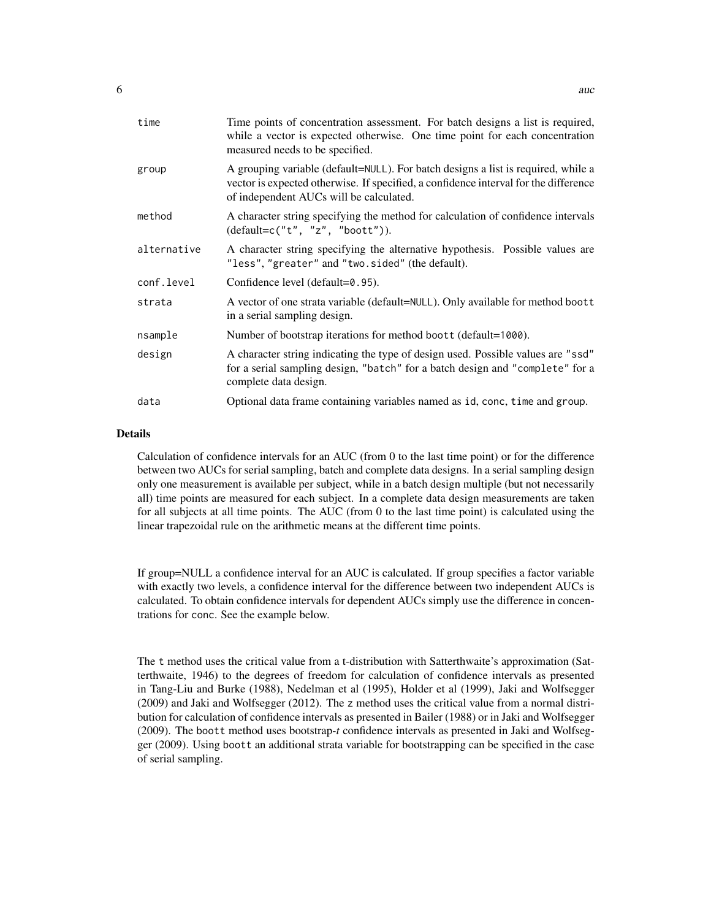| time        | Time points of concentration assessment. For batch designs a list is required,<br>while a vector is expected otherwise. One time point for each concentration<br>measured needs to be specified.                     |
|-------------|----------------------------------------------------------------------------------------------------------------------------------------------------------------------------------------------------------------------|
| group       | A grouping variable (default=NULL). For batch designs a list is required, while a<br>vector is expected otherwise. If specified, a confidence interval for the difference<br>of independent AUCs will be calculated. |
| method      | A character string specifying the method for calculation of confidence intervals<br>$(detault=c("t", "z", "boott"))$ .                                                                                               |
| alternative | A character string specifying the alternative hypothesis. Possible values are<br>"less", "greater" and "two.sided" (the default).                                                                                    |
| conf.level  | Confidence level (default=0.95).                                                                                                                                                                                     |
| strata      | A vector of one strata variable (default=NULL). Only available for method boott<br>in a serial sampling design.                                                                                                      |
| nsample     | Number of bootstrap iterations for method boott (default=1000).                                                                                                                                                      |
| design      | A character string indicating the type of design used. Possible values are "ssd"<br>for a serial sampling design, "batch" for a batch design and "complete" for a<br>complete data design.                           |
| data        | Optional data frame containing variables named as id, conc, time and group.                                                                                                                                          |

#### Details

Calculation of confidence intervals for an AUC (from 0 to the last time point) or for the difference between two AUCs for serial sampling, batch and complete data designs. In a serial sampling design only one measurement is available per subject, while in a batch design multiple (but not necessarily all) time points are measured for each subject. In a complete data design measurements are taken for all subjects at all time points. The AUC (from 0 to the last time point) is calculated using the linear trapezoidal rule on the arithmetic means at the different time points.

If group=NULL a confidence interval for an AUC is calculated. If group specifies a factor variable with exactly two levels, a confidence interval for the difference between two independent AUCs is calculated. To obtain confidence intervals for dependent AUCs simply use the difference in concentrations for conc. See the example below.

The t method uses the critical value from a t-distribution with Satterthwaite's approximation (Satterthwaite, 1946) to the degrees of freedom for calculation of confidence intervals as presented in Tang-Liu and Burke (1988), Nedelman et al (1995), Holder et al (1999), Jaki and Wolfsegger (2009) and Jaki and Wolfsegger (2012). The z method uses the critical value from a normal distribution for calculation of confidence intervals as presented in Bailer (1988) or in Jaki and Wolfsegger (2009). The boott method uses bootstrap-*t* confidence intervals as presented in Jaki and Wolfsegger (2009). Using boott an additional strata variable for bootstrapping can be specified in the case of serial sampling.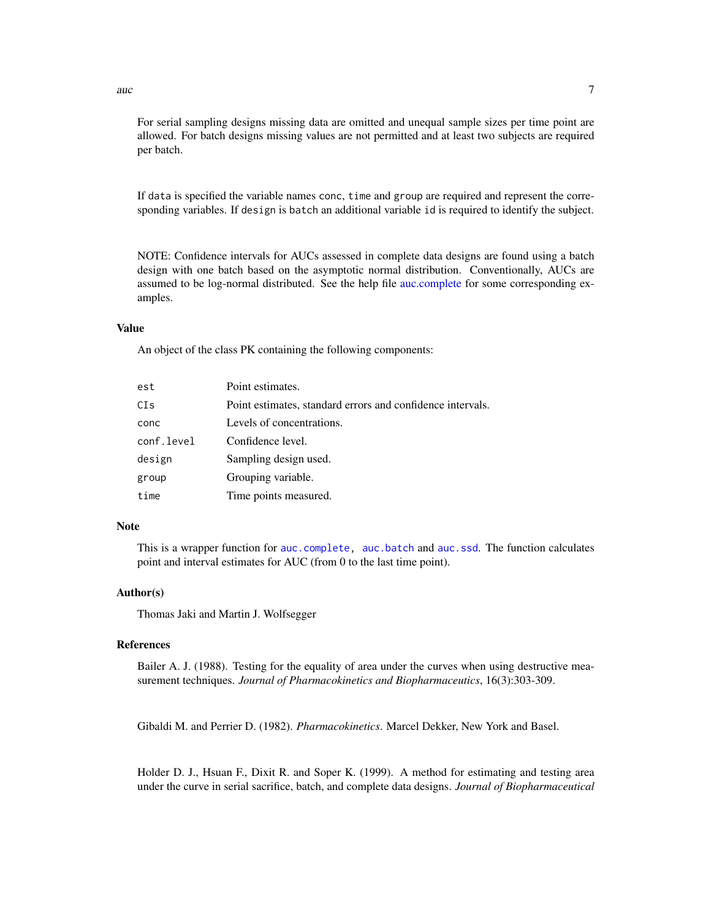<span id="page-6-0"></span>auch  $\sim$  7

For serial sampling designs missing data are omitted and unequal sample sizes per time point are allowed. For batch designs missing values are not permitted and at least two subjects are required per batch.

If data is specified the variable names conc, time and group are required and represent the corresponding variables. If design is batch an additional variable id is required to identify the subject.

NOTE: Confidence intervals for AUCs assessed in complete data designs are found using a batch design with one batch based on the asymptotic normal distribution. Conventionally, AUCs are assumed to be log-normal distributed. See the help file [auc.complete](#page-10-1) for some corresponding examples.

#### Value

An object of the class PK containing the following components:

| est        | Point estimates.                                           |
|------------|------------------------------------------------------------|
| CIs        | Point estimates, standard errors and confidence intervals. |
| conc       | Levels of concentrations.                                  |
| conf.level | Confidence level.                                          |
| design     | Sampling design used.                                      |
| group      | Grouping variable.                                         |
| time       | Time points measured.                                      |

#### Note

This is a wrapper function for [auc.complete,](#page-10-1) [auc.batch](#page-4-1) and [auc.ssd](#page-4-1). The function calculates point and interval estimates for AUC (from 0 to the last time point).

#### Author(s)

Thomas Jaki and Martin J. Wolfsegger

#### References

Bailer A. J. (1988). Testing for the equality of area under the curves when using destructive measurement techniques. *Journal of Pharmacokinetics and Biopharmaceutics*, 16(3):303-309.

Gibaldi M. and Perrier D. (1982). *Pharmacokinetics*. Marcel Dekker, New York and Basel.

Holder D. J., Hsuan F., Dixit R. and Soper K. (1999). A method for estimating and testing area under the curve in serial sacrifice, batch, and complete data designs. *Journal of Biopharmaceutical*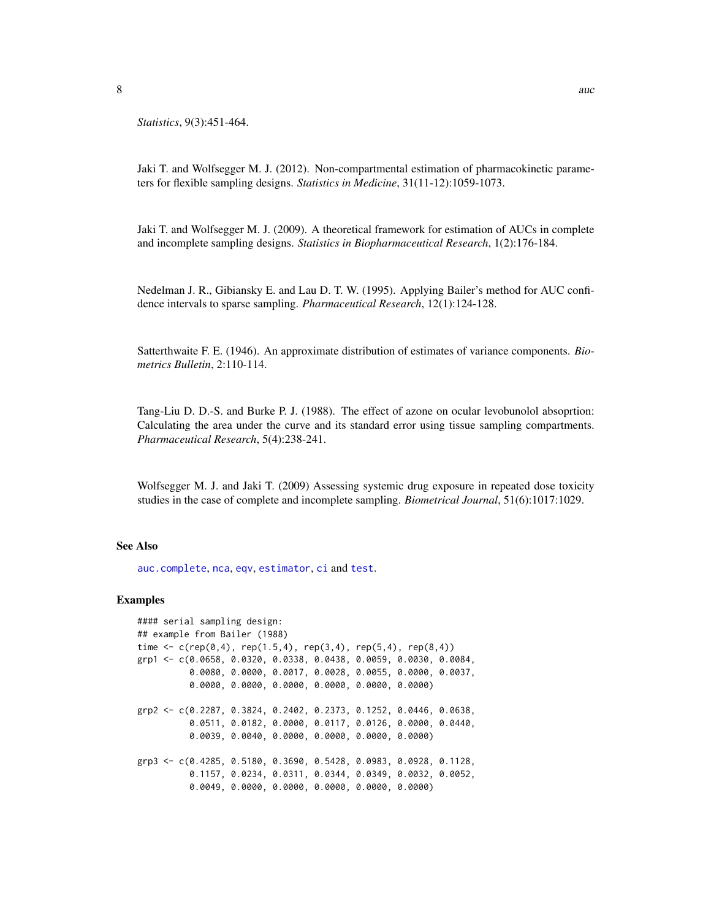<span id="page-7-0"></span>

*Statistics*, 9(3):451-464.

Jaki T. and Wolfsegger M. J. (2012). Non-compartmental estimation of pharmacokinetic parameters for flexible sampling designs. *Statistics in Medicine*, 31(11-12):1059-1073.

Jaki T. and Wolfsegger M. J. (2009). A theoretical framework for estimation of AUCs in complete and incomplete sampling designs. *Statistics in Biopharmaceutical Research*, 1(2):176-184.

Nedelman J. R., Gibiansky E. and Lau D. T. W. (1995). Applying Bailer's method for AUC confidence intervals to sparse sampling. *Pharmaceutical Research*, 12(1):124-128.

Satterthwaite F. E. (1946). An approximate distribution of estimates of variance components. *Biometrics Bulletin*, 2:110-114.

Tang-Liu D. D.-S. and Burke P. J. (1988). The effect of azone on ocular levobunolol absoprtion: Calculating the area under the curve and its standard error using tissue sampling compartments. *Pharmaceutical Research*, 5(4):238-241.

Wolfsegger M. J. and Jaki T. (2009) Assessing systemic drug exposure in repeated dose toxicity studies in the case of complete and incomplete sampling. *Biometrical Journal*, 51(6):1017:1029.

#### See Also

[auc.complete](#page-10-1), [nca](#page-32-1), [eqv](#page-22-1), [estimator](#page-26-1), [ci](#page-20-1) and [test](#page-39-1).

#### Examples

```
#### serial sampling design:
## example from Bailer (1988)
time \leq c(rep(0,4), rep(1.5,4), rep(3,4), rep(5,4), rep(8,4))
grp1 <- c(0.0658, 0.0320, 0.0338, 0.0438, 0.0059, 0.0030, 0.0084,
          0.0080, 0.0000, 0.0017, 0.0028, 0.0055, 0.0000, 0.0037,
          0.0000, 0.0000, 0.0000, 0.0000, 0.0000, 0.0000)
grp2 <- c(0.2287, 0.3824, 0.2402, 0.2373, 0.1252, 0.0446, 0.0638,
          0.0511, 0.0182, 0.0000, 0.0117, 0.0126, 0.0000, 0.0440,
          0.0039, 0.0040, 0.0000, 0.0000, 0.0000, 0.0000)
grp3 <- c(0.4285, 0.5180, 0.3690, 0.5428, 0.0983, 0.0928, 0.1128,
          0.1157, 0.0234, 0.0311, 0.0344, 0.0349, 0.0032, 0.0052,
          0.0049, 0.0000, 0.0000, 0.0000, 0.0000, 0.0000)
```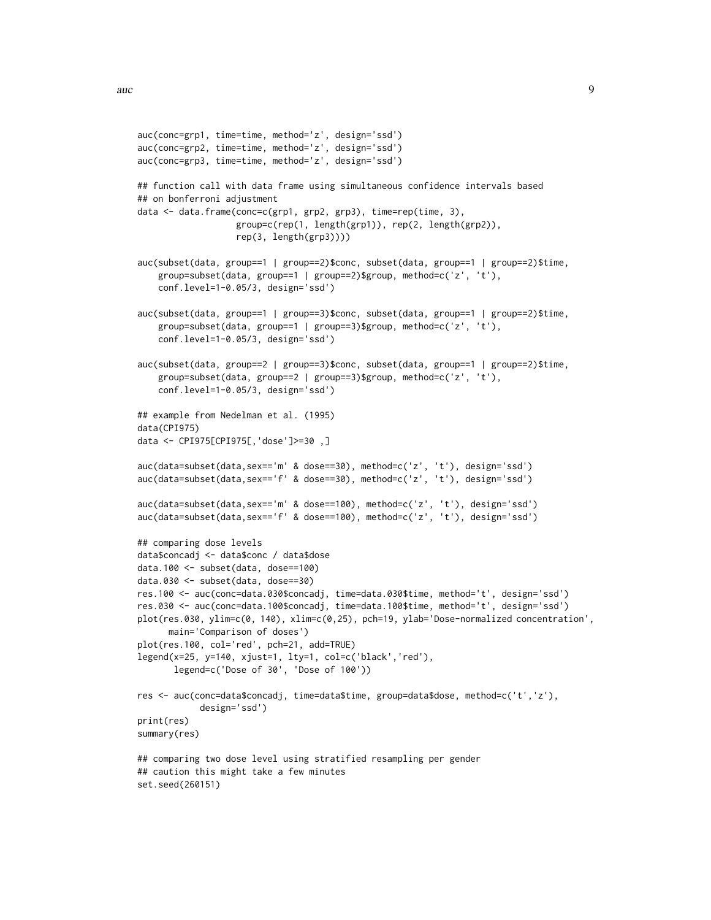```
auc(conc=grp1, time=time, method='z', design='ssd')
auc(conc=grp2, time=time, method='z', design='ssd')
auc(conc=grp3, time=time, method='z', design='ssd')
## function call with data frame using simultaneous confidence intervals based
## on bonferroni adjustment
data <- data.frame(conc=c(grp1, grp2, grp3), time=rep(time, 3),
                   group=c(rep(1, length(grp1)), rep(2, length(grp2)),
                   rep(3, length(grp3))))
auc(subset(data, group==1 | group==2)$conc, subset(data, group==1 | group==2)$time,
    group=subset(data, group==1 | group==2)$group, method=c('z', 't'),
    conf.level=1-0.05/3, design='ssd')
auc(subset(data, group==1 | group==3)$conc, subset(data, group==1 | group==2)$time,
    group=subset(data, group==1 | group==3)$group, method=c('z', 't'),
    conf.level=1-0.05/3, design='ssd')
auc(subset(data, group==2 | group==3)$conc, subset(data, group==1 | group==2)$time,
    group=subset(data, group==2 | group==3)$group, method=c('z', 't'),
    conf.level=1-0.05/3, design='ssd')
## example from Nedelman et al. (1995)
data(CPI975)
data <- CPI975[CPI975[,'dose']>=30 ,]
auc(data=subset(data,sex=='m' & dose==30), method=c('z', 't'), design='ssd')
auc(data=subset(data,sex=='f' & dose==30), method=c('z', 't'), design='ssd')
auc(data=subset(data,sex=='m' & dose==100), method=c('z', 't'), design='ssd')
auc(data=subset(data,sex=='f' & dose==100), method=c('z', 't'), design='ssd')
## comparing dose levels
data$concadj <- data$conc / data$dose
data.100 <- subset(data, dose==100)
data.030 <- subset(data, dose==30)
res.100 <- auc(conc=data.030$concadj, time=data.030$time, method='t', design='ssd')
res.030 <- auc(conc=data.100$concadj, time=data.100$time, method='t', design='ssd')
plot(res.030, ylim=c(0, 140), xlim=c(0,25), pch=19, ylab='Dose-normalized concentration',
     main='Comparison of doses')
plot(res.100, col='red', pch=21, add=TRUE)
legend(x=25, y=140, xjust=1, lty=1, col=c('black','red'),
      legend=c('Dose of 30', 'Dose of 100'))
res <- auc(conc=data$concadj, time=data$time, group=data$dose, method=c('t','z'),
            design='ssd')
print(res)
summary(res)
## comparing two dose level using stratified resampling per gender
## caution this might take a few minutes
set.seed(260151)
```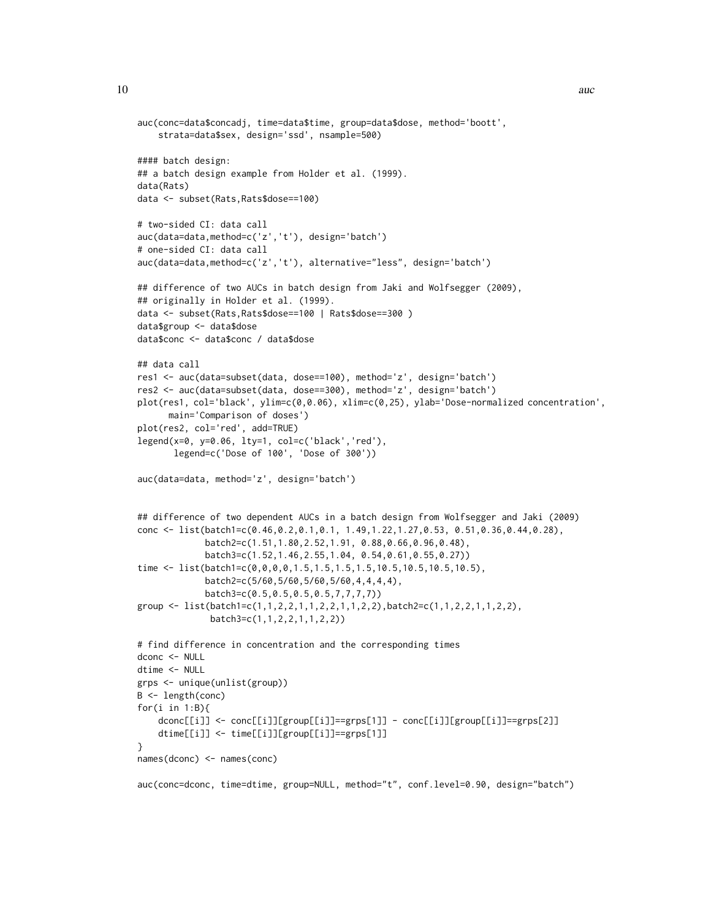```
auc(conc=data$concadj, time=data$time, group=data$dose, method='boott',
    strata=data$sex, design='ssd', nsample=500)
#### batch design:
## a batch design example from Holder et al. (1999).
data(Rats)
data <- subset(Rats,Rats$dose==100)
# two-sided CI: data call
auc(data=data,method=c('z','t'), design='batch')
# one-sided CI: data call
auc(data=data,method=c('z','t'), alternative="less", design='batch')
## difference of two AUCs in batch design from Jaki and Wolfsegger (2009),
## originally in Holder et al. (1999).
data <- subset(Rats,Rats$dose==100 | Rats$dose==300 )
data$group <- data$dose
data$conc <- data$conc / data$dose
## data call
res1 <- auc(data=subset(data, dose==100), method='z', design='batch')
res2 <- auc(data=subset(data, dose==300), method='z', design='batch')
plot(res1, col='black', ylim=c(0,0.06), xlim=c(0,25), ylab='Dose-normalized concentration',
     main='Comparison of doses')
plot(res2, col='red', add=TRUE)
legend(x=0, y=0.06, lty=1, col=c('black','red'),
      legend=c('Dose of 100', 'Dose of 300'))
auc(data=data, method='z', design='batch')
## difference of two dependent AUCs in a batch design from Wolfsegger and Jaki (2009)
conc <- list(batch1=c(0.46,0.2,0.1,0.1, 1.49,1.22,1.27,0.53, 0.51,0.36,0.44,0.28),
             batch2=c(1.51,1.80,2.52,1.91, 0.88,0.66,0.96,0.48),
             batch3=c(1.52,1.46,2.55,1.04, 0.54,0.61,0.55,0.27))
time <- list(batch1=c(0,0,0,0,1.5,1.5,1.5,1.5,10.5,10.5,10.5,10.5),
             batch2=c(5/60,5/60,5/60,5/60,4,4,4,4),
             batch3=c(0.5,0.5,0.5,0.5,7,7,7,7))
group <- list(batch1=c(1,1,2,2,1,1,2,2,1,1,2,2),batch2=c(1,1,2,2,1,1,2,2),
              batch3=c(1,1,2,2,1,1,2,2))
# find difference in concentration and the corresponding times
dconc <- NULL
dtime <- NULL
grps <- unique(unlist(group))
B <- length(conc)
for(i in 1:B){
    dconc[[i]] <- conc[[i]][group[[i]]==grps[1]] - conc[[i]][group[[i]]==grps[2]]
    dtime[[i]] <- time[[i]][group[[i]]==grps[1]]
}
names(dconc) <- names(conc)
auc(conc=dconc, time=dtime, group=NULL, method="t", conf.level=0.90, design="batch")
```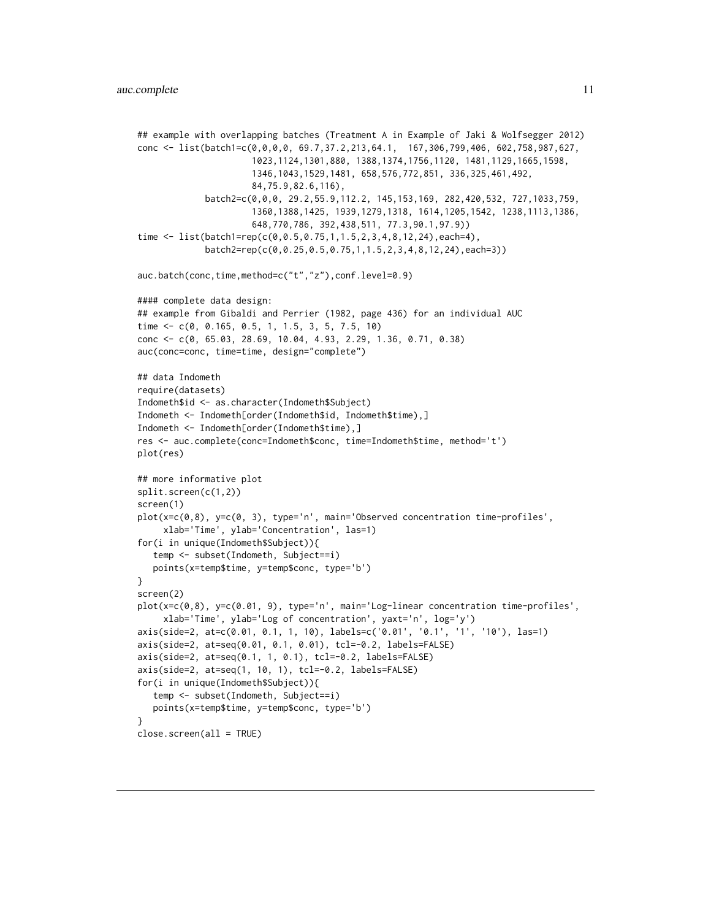```
## example with overlapping batches (Treatment A in Example of Jaki & Wolfsegger 2012)
conc <- list(batch1=c(0,0,0,0, 69.7,37.2,213,64.1, 167,306,799,406, 602,758,987,627,
                      1023,1124,1301,880, 1388,1374,1756,1120, 1481,1129,1665,1598,
                      1346,1043,1529,1481, 658,576,772,851, 336,325,461,492,
                      84,75.9,82.6,116),
             batch2=c(0,0,0, 29.2,55.9,112.2, 145,153,169, 282,420,532, 727,1033,759,
                      1360,1388,1425, 1939,1279,1318, 1614,1205,1542, 1238,1113,1386,
                      648,770,786, 392,438,511, 77.3,90.1,97.9))
time <- list(batch1=rep(c(0,0.5,0.75,1,1.5,2,3,4,8,12,24),each=4),
             batch2=rep(c(0,0.25,0.5,0.75,1,1.5,2,3,4,8,12,24),each=3))
auc.batch(conc,time,method=c("t","z"),conf.level=0.9)
#### complete data design:
## example from Gibaldi and Perrier (1982, page 436) for an individual AUC
time <- c(0, 0.165, 0.5, 1, 1.5, 3, 5, 7.5, 10)
conc <- c(0, 65.03, 28.69, 10.04, 4.93, 2.29, 1.36, 0.71, 0.38)
auc(conc=conc, time=time, design="complete")
## data Indometh
require(datasets)
Indometh$id <- as.character(Indometh$Subject)
Indometh <- Indometh[order(Indometh$id, Indometh$time),]
Indometh <- Indometh[order(Indometh$time),]
res <- auc.complete(conc=Indometh$conc, time=Indometh$time, method='t')
plot(res)
## more informative plot
split.screen(c(1,2))
screen(1)
plot(x=c(0,8), y=c(0, 3), type='n', main='Observed concentration time-profiles',
     xlab='Time', ylab='Concentration', las=1)
for(i in unique(Indometh$Subject)){
   temp <- subset(Indometh, Subject==i)
  points(x=temp$time, y=temp$conc, type='b')
}
screen(2)
plot(x=c(0,8), y=c(0.01, 9), type='n', main='Log-linear concentration time-profiles',
     xlab='Time', ylab='Log of concentration', yaxt='n', log='y')
axis(side=2, at=c(0.01, 0.1, 1, 10), labels=c('0.01', '0.1', '1', '10'), las=1)
axis(side=2, at=seq(0.01, 0.1, 0.01), tcl=-0.2, labels=FALSE)
axis(side=2, at=seq(0.1, 1, 0.1), tcl=-0.2, labels=FALSE)
axis(side=2, at=seq(1, 10, 1), tcl=-0.2, labels=FALSE)
for(i in unique(Indometh$Subject)){
   temp <- subset(Indometh, Subject==i)
  points(x=temp$time, y=temp$conc, type='b')
}
close.screen(all = TRUE)
```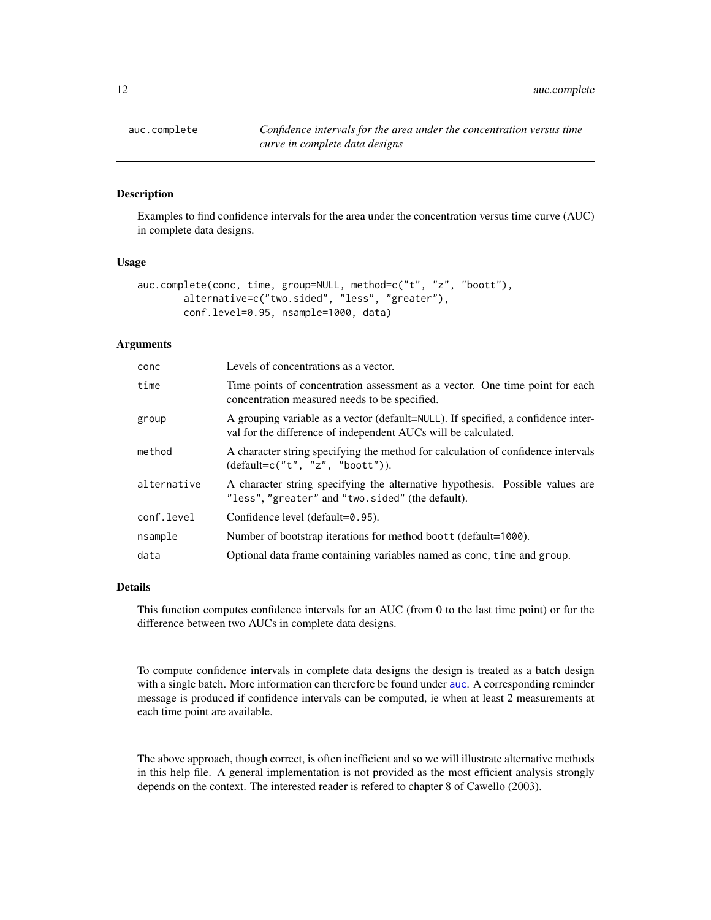<span id="page-11-0"></span>

#### Description

Examples to find confidence intervals for the area under the concentration versus time curve (AUC) in complete data designs.

#### Usage

```
auc.complete(conc, time, group=NULL, method=c("t", "z", "boott"),
       alternative=c("two.sided", "less", "greater"),
       conf.level=0.95, nsample=1000, data)
```
#### Arguments

| conc        | Levels of concentrations as a vector.                                                                                                               |
|-------------|-----------------------------------------------------------------------------------------------------------------------------------------------------|
| time        | Time points of concentration assessment as a vector. One time point for each<br>concentration measured needs to be specified.                       |
| group       | A grouping variable as a vector (default=NULL). If specified, a confidence inter-<br>val for the difference of independent AUCs will be calculated. |
| method      | A character string specifying the method for calculation of confidence intervals<br>$(detault = c("t", "z", "boot't").$                             |
| alternative | A character string specifying the alternative hypothesis. Possible values are<br>"less", "greater" and "two.sided" (the default).                   |
| conf.level  | Confidence level (default=0.95).                                                                                                                    |
| nsample     | Number of bootstrap iterations for method boott (default=1000).                                                                                     |
| data        | Optional data frame containing variables named as conc, time and group.                                                                             |

#### Details

This function computes confidence intervals for an AUC (from 0 to the last time point) or for the difference between two AUCs in complete data designs.

To compute confidence intervals in complete data designs the design is treated as a batch design with a single batch. More information can therefore be found under [auc](#page-4-2). A corresponding reminder message is produced if confidence intervals can be computed, ie when at least 2 measurements at each time point are available.

The above approach, though correct, is often inefficient and so we will illustrate alternative methods in this help file. A general implementation is not provided as the most efficient analysis strongly depends on the context. The interested reader is refered to chapter 8 of Cawello (2003).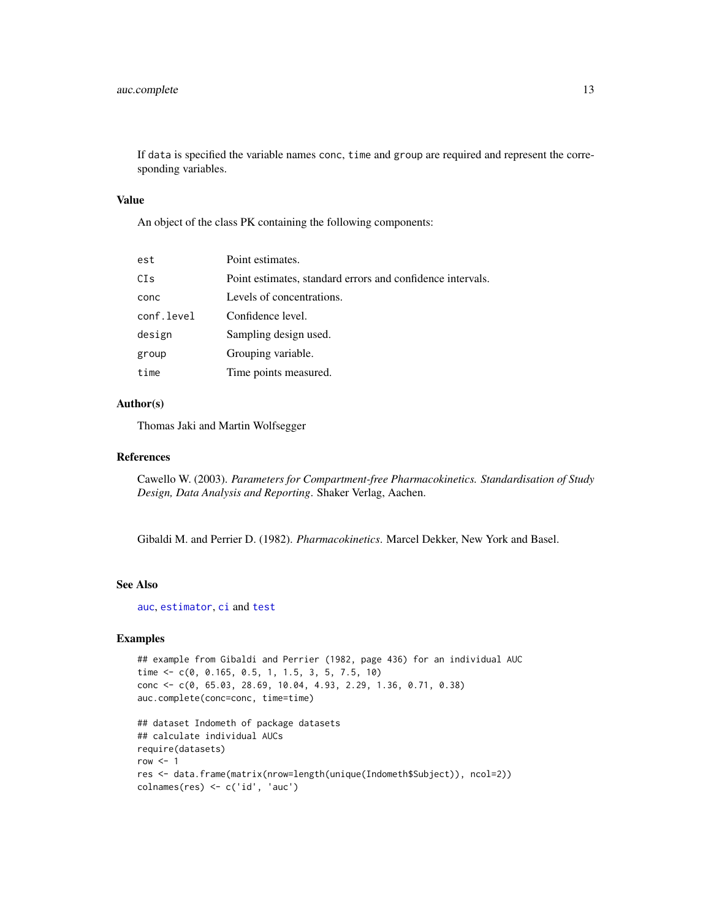<span id="page-12-0"></span>If data is specified the variable names conc, time and group are required and represent the corresponding variables.

#### Value

An object of the class PK containing the following components:

| est        | Point estimates.                                           |
|------------|------------------------------------------------------------|
| CIs        | Point estimates, standard errors and confidence intervals. |
| conc       | Levels of concentrations.                                  |
| conf.level | Confidence level.                                          |
| design     | Sampling design used.                                      |
| group      | Grouping variable.                                         |
| time       | Time points measured.                                      |

#### Author(s)

Thomas Jaki and Martin Wolfsegger

#### References

Cawello W. (2003). *Parameters for Compartment-free Pharmacokinetics. Standardisation of Study Design, Data Analysis and Reporting*. Shaker Verlag, Aachen.

Gibaldi M. and Perrier D. (1982). *Pharmacokinetics*. Marcel Dekker, New York and Basel.

#### See Also

[auc](#page-4-2), [estimator](#page-26-1), [ci](#page-20-1) and [test](#page-39-1)

#### Examples

```
## example from Gibaldi and Perrier (1982, page 436) for an individual AUC
time <- c(0, 0.165, 0.5, 1, 1.5, 3, 5, 7.5, 10)
conc <- c(0, 65.03, 28.69, 10.04, 4.93, 2.29, 1.36, 0.71, 0.38)
auc.complete(conc=conc, time=time)
```

```
## dataset Indometh of package datasets
## calculate individual AUCs
require(datasets)
row <-1res <- data.frame(matrix(nrow=length(unique(Indometh$Subject)), ncol=2))
colnames(res) <- c('id', 'auc')
```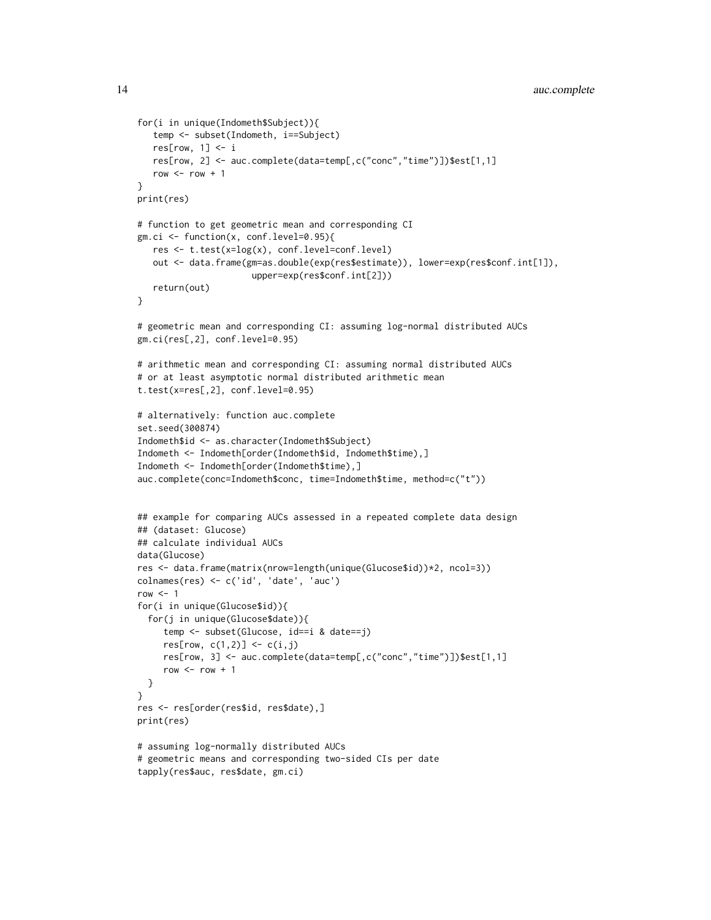```
for(i in unique(Indometh$Subject)){
   temp <- subset(Indometh, i==Subject)
   res[row, 1] < -ires[row, 2] <- auc.complete(data=temp[,c("conc","time")])$est[1,1]
   row <- row +1}
print(res)
# function to get geometric mean and corresponding CI
gm.ci <- function(x, conf.level=0.95){
   res <- t.test(x=log(x), conf.level=conf.level)
   out <- data.frame(gm=as.double(exp(res$estimate)), lower=exp(res$conf.int[1]),
                      upper=exp(res$conf.int[2]))
   return(out)
}
# geometric mean and corresponding CI: assuming log-normal distributed AUCs
gm.ci(res[,2], conf.level=0.95)
# arithmetic mean and corresponding CI: assuming normal distributed AUCs
# or at least asymptotic normal distributed arithmetic mean
t.test(x=res[,2], conf.level=0.95)
# alternatively: function auc.complete
set.seed(300874)
Indometh$id <- as.character(Indometh$Subject)
Indometh <- Indometh[order(Indometh$id, Indometh$time),]
Indometh <- Indometh[order(Indometh$time),]
auc.complete(conc=Indometh$conc, time=Indometh$time, method=c("t"))
## example for comparing AUCs assessed in a repeated complete data design
## (dataset: Glucose)
## calculate individual AUCs
data(Glucose)
res <- data.frame(matrix(nrow=length(unique(Glucose$id))*2, ncol=3))
colnames(res) <- c('id', 'date', 'auc')
row < -1for(i in unique(Glucose$id)){
  for(j in unique(Glucose$date)){
     temp <- subset(Glucose, id==i & date==j)
     res[row, c(1,2)] \leftarrow c(i,j)res[row, 3] <- auc.complete(data=temp[,c("conc","time")])$est[1,1]
     row <- row +1}
}
res <- res[order(res$id, res$date),]
print(res)
# assuming log-normally distributed AUCs
# geometric means and corresponding two-sided CIs per date
tapply(res$auc, res$date, gm.ci)
```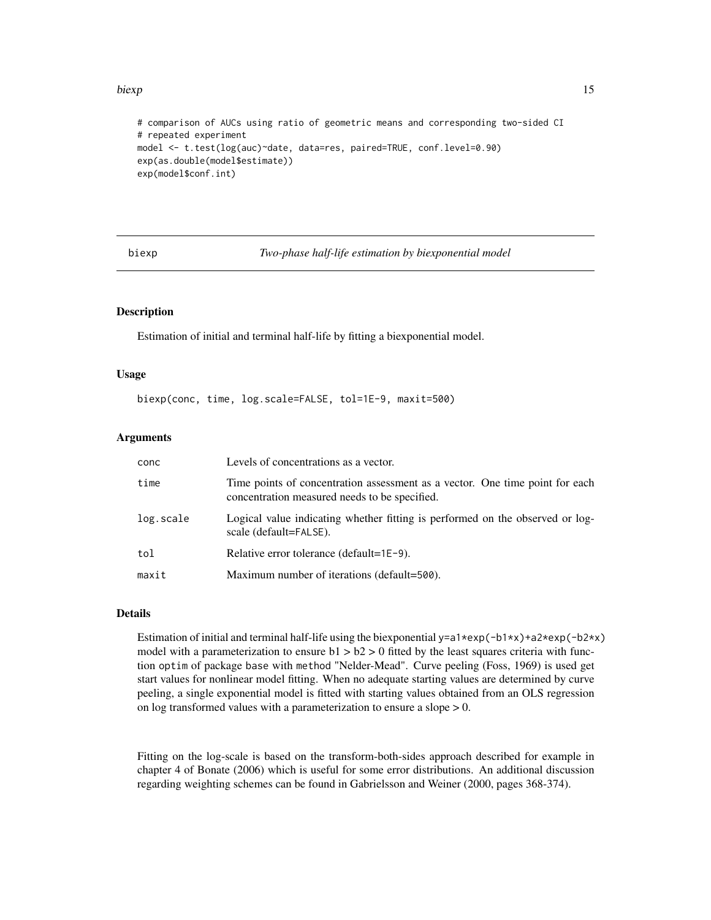#### <span id="page-14-0"></span>biexp 15

```
# comparison of AUCs using ratio of geometric means and corresponding two-sided CI
# repeated experiment
model <- t.test(log(auc)~date, data=res, paired=TRUE, conf.level=0.90)
exp(as.double(model$estimate))
exp(model$conf.int)
```
<span id="page-14-1"></span>biexp *Two-phase half-life estimation by biexponential model*

#### **Description**

Estimation of initial and terminal half-life by fitting a biexponential model.

#### Usage

```
biexp(conc, time, log.scale=FALSE, tol=1E-9, maxit=500)
```
#### Arguments

| conc      | Levels of concentrations as a vector.                                                                                         |
|-----------|-------------------------------------------------------------------------------------------------------------------------------|
| time      | Time points of concentration assessment as a vector. One time point for each<br>concentration measured needs to be specified. |
| log.scale | Logical value indicating whether fitting is performed on the observed or log-<br>scale (default=FALSE).                       |
| tol       | Relative error tolerance (default=1E-9).                                                                                      |
| maxit     | Maximum number of iterations (default=500).                                                                                   |

#### Details

Estimation of initial and terminal half-life using the biexponential y=a1\*exp(-b1\*x)+a2\*exp(-b2\*x) model with a parameterization to ensure  $b1 > b2 > 0$  fitted by the least squares criteria with function optim of package base with method "Nelder-Mead". Curve peeling (Foss, 1969) is used get start values for nonlinear model fitting. When no adequate starting values are determined by curve peeling, a single exponential model is fitted with starting values obtained from an OLS regression on log transformed values with a parameterization to ensure a slope > 0.

Fitting on the log-scale is based on the transform-both-sides approach described for example in chapter 4 of Bonate (2006) which is useful for some error distributions. An additional discussion regarding weighting schemes can be found in Gabrielsson and Weiner (2000, pages 368-374).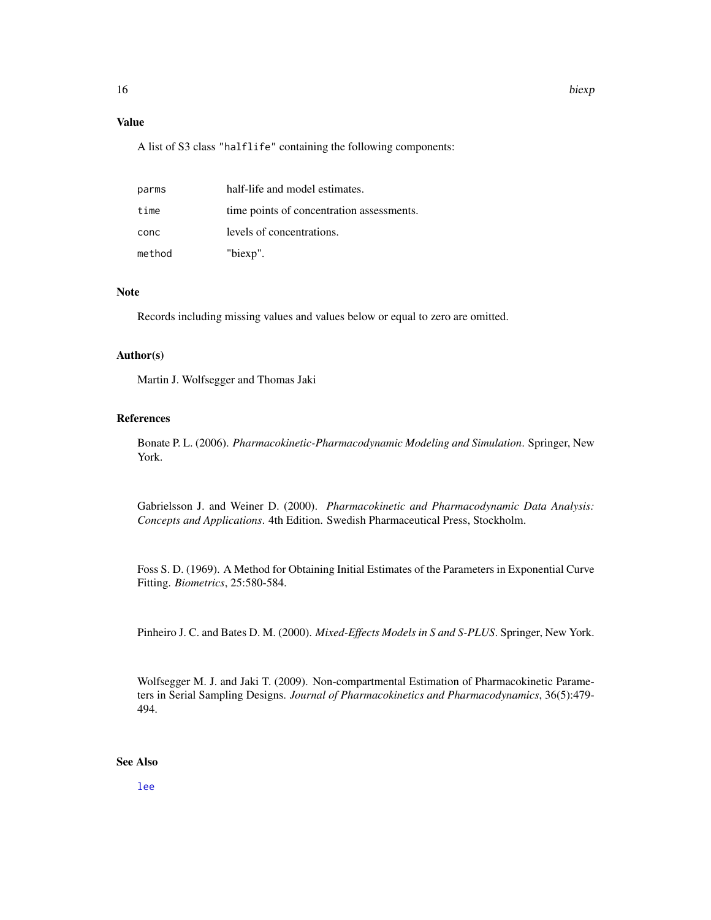#### <span id="page-15-0"></span>Value

A list of S3 class "halflife" containing the following components:

| parms  | half-life and model estimates.            |
|--------|-------------------------------------------|
| time   | time points of concentration assessments. |
| conc   | levels of concentrations.                 |
| method | "biexp".                                  |

#### Note

Records including missing values and values below or equal to zero are omitted.

#### Author(s)

Martin J. Wolfsegger and Thomas Jaki

#### References

Bonate P. L. (2006). *Pharmacokinetic-Pharmacodynamic Modeling and Simulation*. Springer, New York.

Gabrielsson J. and Weiner D. (2000). *Pharmacokinetic and Pharmacodynamic Data Analysis: Concepts and Applications*. 4th Edition. Swedish Pharmaceutical Press, Stockholm.

Foss S. D. (1969). A Method for Obtaining Initial Estimates of the Parameters in Exponential Curve Fitting. *Biometrics*, 25:580-584.

Pinheiro J. C. and Bates D. M. (2000). *Mixed-Effects Models in S and S-PLUS*. Springer, New York.

Wolfsegger M. J. and Jaki T. (2009). Non-compartmental Estimation of Pharmacokinetic Parameters in Serial Sampling Designs. *Journal of Pharmacokinetics and Pharmacodynamics*, 36(5):479- 494.

#### See Also

[lee](#page-29-1)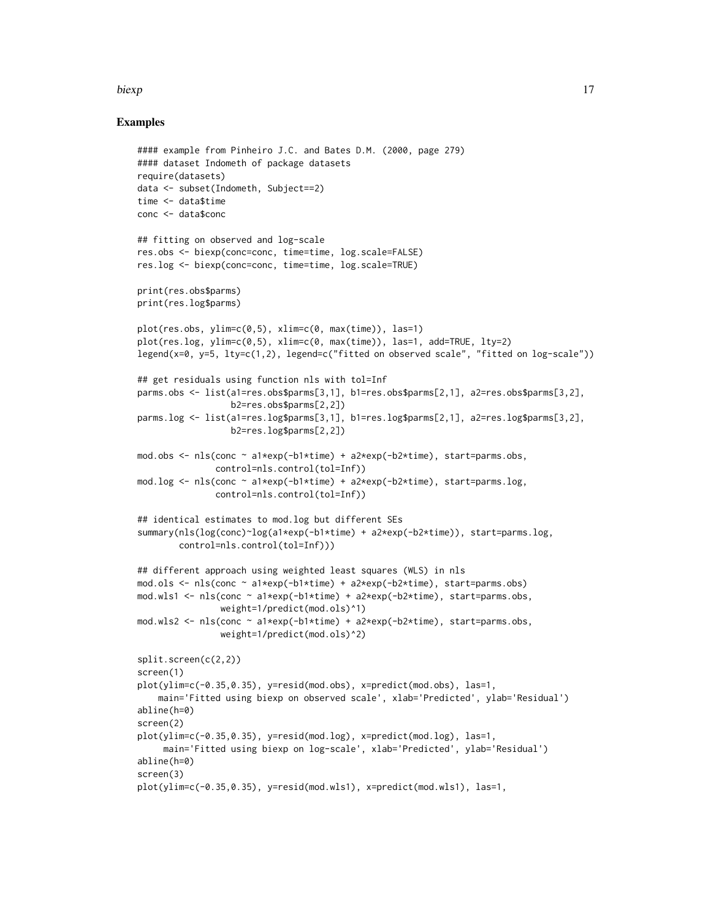#### biexp and the set of the set of the set of the set of the set of the set of the set of the set of the set of the set of the set of the set of the set of the set of the set of the set of the set of the set of the set of the

#### Examples

```
#### example from Pinheiro J.C. and Bates D.M. (2000, page 279)
#### dataset Indometh of package datasets
require(datasets)
data <- subset(Indometh, Subject==2)
time <- data$time
conc <- data$conc
## fitting on observed and log-scale
res.obs <- biexp(conc=conc, time=time, log.scale=FALSE)
res.log <- biexp(conc=conc, time=time, log.scale=TRUE)
print(res.obs$parms)
print(res.log$parms)
plot(res.obs, ylim=c(0,5), xlim=c(0, max(time)), las=1)
plot(res.log, ylim=c(0,5), xlim=c(0, max(time)), las=1, add=TRUE, lty=2)
legend(x=0, y=5, lty=c(1,2), legend=c("fitted on observed scale", "fitted on log-scale"))
## get residuals using function nls with tol=Inf
parms.obs <- list(a1=res.obs$parms[3,1], b1=res.obs$parms[2,1], a2=res.obs$parms[3,2],
                  b2=res.obs$parms[2,2])
parms.log <- list(a1=res.log$parms[3,1], b1=res.log$parms[2,1], a2=res.log$parms[3,2],
                  b2=res.log$parms[2,2])
mod.obs <- nls(conc ~ a1*exp(-b1*time) + a2*exp(-b2*time), start=parms.obs,
               control=nls.control(tol=Inf))
mod.log \leq nls(conc \sim a1*exp(-b1*time) + a2*exp(-b2*time), start=parms.log,
              control=nls.control(tol=Inf))
## identical estimates to mod.log but different SEs
summary(nls(log(conc)~log(a1*exp(-b1*time) + a2*exp(-b2*time)), start=parms.log,
       control=nls.control(tol=Inf)))
## different approach using weighted least squares (WLS) in nls
mod.ols <- nls(conc ~ a1*exp(-b1*time) + a2*exp(-b2*time), start=parms.obs)
mod.wls1 <- nls(conc ~ a1*exp(-b1*time) + a2*exp(-b2*time), start=parms.obs,
                weight=1/predict(mod.ols)^1)
mod.wls2 <- nls(conc ~ a1*exp(-b1*time) + a2*exp(-b2*time), start=parms.obs,
                weight=1/predict(mod.ols)^2)
split.screen(c(2,2))
screen(1)
plot(ylim=c(-0.35,0.35), y=resid(mod.obs), x=predict(mod.obs), las=1,
    main='Fitted using biexp on observed scale', xlab='Predicted', ylab='Residual')
abline(h=0)
screen(2)
plot(ylim=c(-0.35,0.35), y=resid(mod.log), x=predict(mod.log), las=1,
     main='Fitted using biexp on log-scale', xlab='Predicted', ylab='Residual')
abline(h=0)
screen(3)
plot(ylim=c(-0.35,0.35), y=resid(mod.wls1), x=predict(mod.wls1), las=1,
```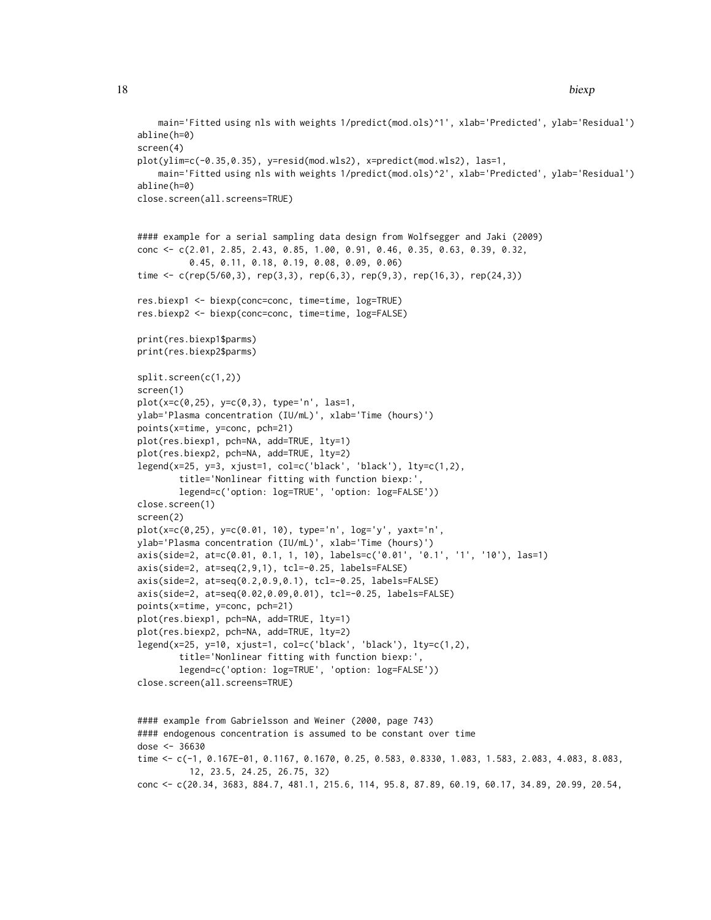```
main='Fitted using nls with weights 1/predict(mod.ols)^1', xlab='Predicted', ylab='Residual')
abline(h=0)
screen(4)
plot(ylim=c(-0.35,0.35), y=resid(mod.wls2), x=predict(mod.wls2), las=1,
    main='Fitted using nls with weights 1/predict(mod.ols)^2', xlab='Predicted', ylab='Residual')
abline(h=0)
close.screen(all.screens=TRUE)
#### example for a serial sampling data design from Wolfsegger and Jaki (2009)
conc <- c(2.01, 2.85, 2.43, 0.85, 1.00, 0.91, 0.46, 0.35, 0.63, 0.39, 0.32,
          0.45, 0.11, 0.18, 0.19, 0.08, 0.09, 0.06)
time <- c(rep(5/60,3), rep(3,3), rep(6,3), rep(9,3), rep(16,3), rep(24,3))
res.biexp1 <- biexp(conc=conc, time=time, log=TRUE)
res.biexp2 <- biexp(conc=conc, time=time, log=FALSE)
print(res.biexp1$parms)
print(res.biexp2$parms)
split.screen(c(1,2))
screen(1)
plot(x=c(0,25), y=c(0,3), type='n', las=1,
ylab='Plasma concentration (IU/mL)', xlab='Time (hours)')
points(x=time, y=conc, pch=21)
plot(res.biexp1, pch=NA, add=TRUE, lty=1)
plot(res.biexp2, pch=NA, add=TRUE, lty=2)
legend(x=25, y=3, xjust=1, col=c('black', 'black'), lty=c(1,2),
        title='Nonlinear fitting with function biexp:'
        legend=c('option: log=TRUE', 'option: log=FALSE'))
close.screen(1)
screen(2)
plot(x=c(0,25), y=c(0.01, 10), type='n', log='y', yaxt='n',
ylab='Plasma concentration (IU/mL)', xlab='Time (hours)')
axis(side=2, at=c(0.01, 0.1, 1, 10), labels=c('0.01', '0.1', '1', '10'), las=1)
axis(side=2, at=seq(2,9,1), tcl=-0.25, labels=FALSE)
axis(side=2, at=seq(0.2,0.9,0.1), tcl=-0.25, labels=FALSE)
axis(side=2, at=seq(0.02,0.09,0.01), tcl=-0.25, labels=FALSE)
points(x=time, y=conc, pch=21)
plot(res.biexp1, pch=NA, add=TRUE, lty=1)
plot(res.biexp2, pch=NA, add=TRUE, lty=2)
legend(x=25, y=10, xjust=1, col=c('black', 'black'), lty=c(1,2),
        title='Nonlinear fitting with function biexp:',
        legend=c('option: log=TRUE', 'option: log=FALSE'))
close.screen(all.screens=TRUE)
#### example from Gabrielsson and Weiner (2000, page 743)
#### endogenous concentration is assumed to be constant over time
dose <- 36630
time <- c(-1, 0.167E-01, 0.1167, 0.1670, 0.25, 0.583, 0.8330, 1.083, 1.583, 2.083, 4.083, 8.083,
          12, 23.5, 24.25, 26.75, 32)
conc <- c(20.34, 3683, 884.7, 481.1, 215.6, 114, 95.8, 87.89, 60.19, 60.17, 34.89, 20.99, 20.54,
```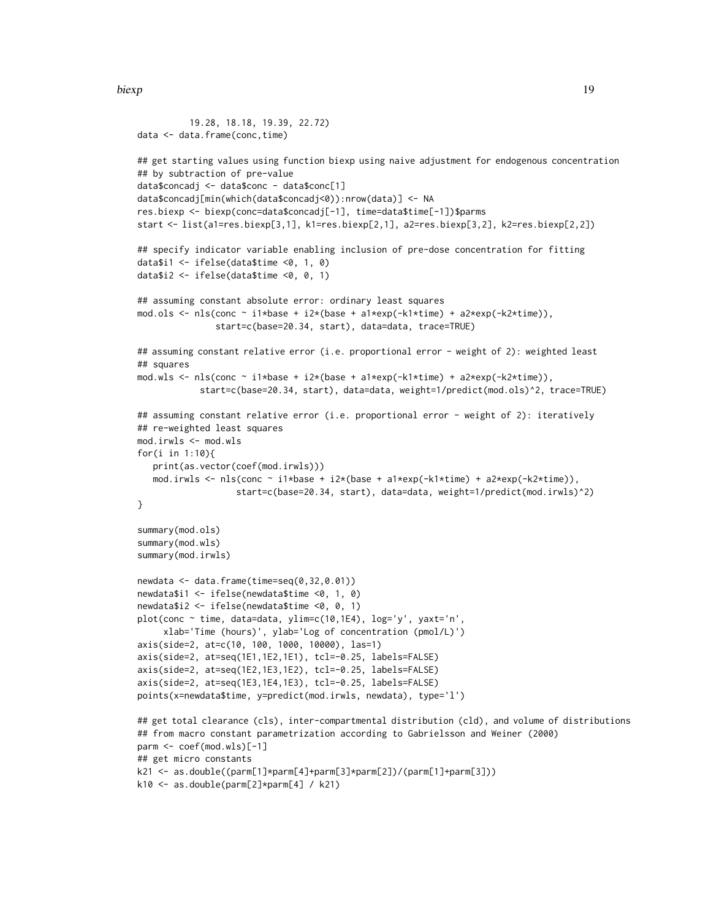biexp 2008 and the set of the set of the set of the set of the set of the set of the set of the set of the set of the set of the set of the set of the set of the set of the set of the set of the set of the set of the set o

```
19.28, 18.18, 19.39, 22.72)
data <- data.frame(conc,time)
## get starting values using function biexp using naive adjustment for endogenous concentration
## by subtraction of pre-value
data$concadj <- data$conc - data$conc[1]
data$concadj[min(which(data$concadj<0)):nrow(data)] <- NA
res.biexp <- biexp(conc=data$concadj[-1], time=data$time[-1])$parms
start <- list(a1=res.biexp[3,1], k1=res.biexp[2,1], a2=res.biexp[3,2], k2=res.biexp[2,2])
## specify indicator variable enabling inclusion of pre-dose concentration for fitting
data$i1 <- ifelse(data$time <0, 1, 0)
data$i2 <- ifelse(data$time <0, 0, 1)
## assuming constant absolute error: ordinary least squares
mod.ols \leq nls(conc \sim i1*base + i2*(base + a1*exp(-k1*time) + a2*exp(-k2*time)),
               start=c(base=20.34, start), data=data, trace=TRUE)
## assuming constant relative error (i.e. proportional error - weight of 2): weighted least
## squares
mod.wls <- nls(conc \sim i1*base + i2*(base + a1*exp(-k1*time) + a2*exp(-k2*time)),
            start=c(base=20.34, start), data=data, weight=1/predict(mod.ols)^2, trace=TRUE)
## assuming constant relative error (i.e. proportional error - weight of 2): iteratively
## re-weighted least squares
mod.irwls <- mod.wls
for(i in 1:10){
  print(as.vector(coef(mod.irwls)))
  mod.irwls <- nls(conc ~ i1*base + i2*(base + a1*exp(-k1*time) + a2*exp(-k2*time)),
                   start=c(base=20.34, start), data=data, weight=1/predict(mod.irwls)^2)
}
summary(mod.ols)
summary(mod.wls)
summary(mod.irwls)
newdata <- data.frame(time=seq(0,32,0.01))
newdata$i1 <- ifelse(newdata$time <0, 1, 0)
newdata$i2 <- ifelse(newdata$time <0, 0, 1)
plot(conc ~ time, data=data, ylim=c(10,1E4), log='y', yaxt='n',
     xlab='Time (hours)', ylab='Log of concentration (pmol/L)')
axis(side=2, at=c(10, 100, 1000, 10000), las=1)
axis(side=2, at=seq(1E1,1E2,1E1), tcl=-0.25, labels=FALSE)
axis(side=2, at=seq(1E2,1E3,1E2), tcl=-0.25, labels=FALSE)
axis(side=2, at=seq(1E3,1E4,1E3), tcl=-0.25, labels=FALSE)
points(x=newdata$time, y=predict(mod.irwls, newdata), type='l')
## get total clearance (cls), inter-compartmental distribution (cld), and volume of distributions
## from macro constant parametrization according to Gabrielsson and Weiner (2000)
parm <- coef(mod.wls)[-1]
## get micro constants
k21 <- as.double((parm[1]*parm[4]+parm[3]*parm[2])/(parm[1]+parm[3]))
k10 <- as.double(parm[2]*parm[4] / k21)
```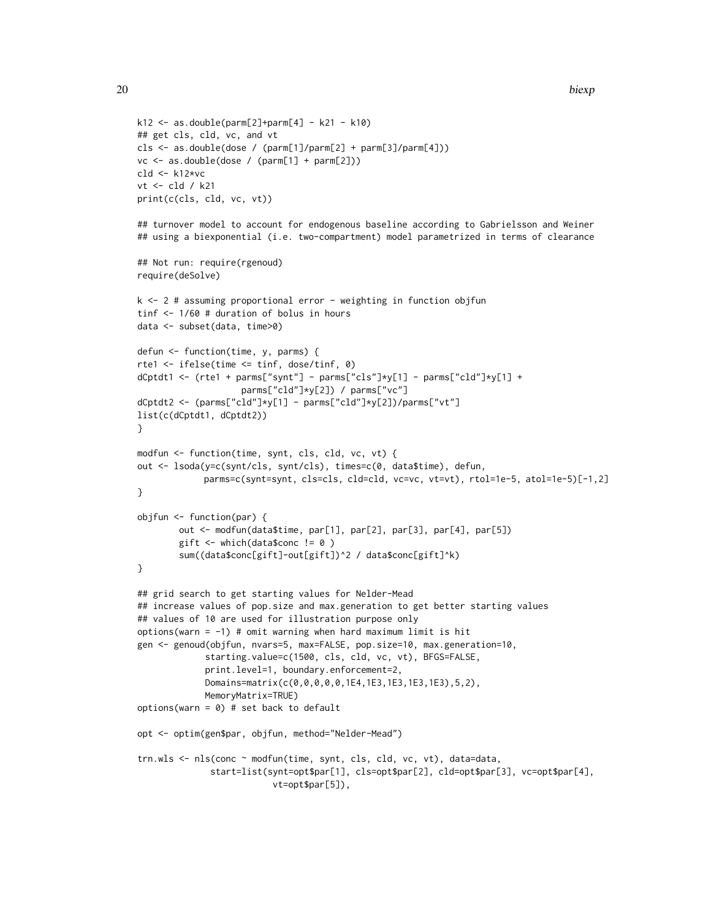```
k12 <- as.double(parm[2]+parm[4] - k21 - k10)
## get cls, cld, vc, and vt
cls <- as.double(dose / (parm[1]/parm[2] + parm[3]/parm[4]))
vc <- as.double(dose / (parm[1] + parm[2]))
cld <- k12*vc
vt <- cld / k21
print(c(cls, cld, vc, vt))
## turnover model to account for endogenous baseline according to Gabrielsson and Weiner
## using a biexponential (i.e. two-compartment) model parametrized in terms of clearance
## Not run: require(rgenoud)
require(deSolve)
k \leq 2 # assuming proportional error - weighting in function objfun
tinf <- 1/60 # duration of bolus in hours
data <- subset(data, time>0)
defun <- function(time, y, parms) {
rte1 <- ifelse(time <= tinf, dose/tinf, 0)
dCptdt1 <- (rte1 + parms["synt"] - parms["cls"]*y[1] - parms["cld"]*y[1] +
                    parms["cld"]*y[2]) / parms["vc"]
dCptdt2 <- (parms["cld"]*y[1] - parms["cld"]*y[2])/parms["vt"]
list(c(dCptdt1, dCptdt2))
}
modfun <- function(time, synt, cls, cld, vc, vt) {
out <- lsoda(y=c(synt/cls, synt/cls), times=c(0, data$time), defun,
             parms=c(synt=synt, cls=cls, cld=cld, vc=vc, vt=vt), rtol=1e-5, atol=1e-5)[-1,2]
}
objfun <- function(par) {
        out <- modfun(data$time, par[1], par[2], par[3], par[4], par[5])
        gift \leftarrow which(data$conc != 0)
        sum((data$conc[gift]-out[gift])^2 / data$conc[gift]^k)
}
## grid search to get starting values for Nelder-Mead
## increase values of pop.size and max.generation to get better starting values
## values of 10 are used for illustration purpose only
options(warn = -1) # omit warning when hard maximum limit is hit
gen <- genoud(objfun, nvars=5, max=FALSE, pop.size=10, max.generation=10,
             starting.value=c(1500, cls, cld, vc, vt), BFGS=FALSE,
             print.level=1, boundary.enforcement=2,
             Domains=matrix(c(0,0,0,0,0,1E4,1E3,1E3,1E3,1E3),5,2),
             MemoryMatrix=TRUE)
options(warn = 0) # set back to default
opt <- optim(gen$par, objfun, method="Nelder-Mead")
trn.wls <- nls(conc ~ modfun(time, synt, cls, cld, vc, vt), data=data,
              start=list(synt=opt$par[1], cls=opt$par[2], cld=opt$par[3], vc=opt$par[4],
                          vt=opt$par[5]),
```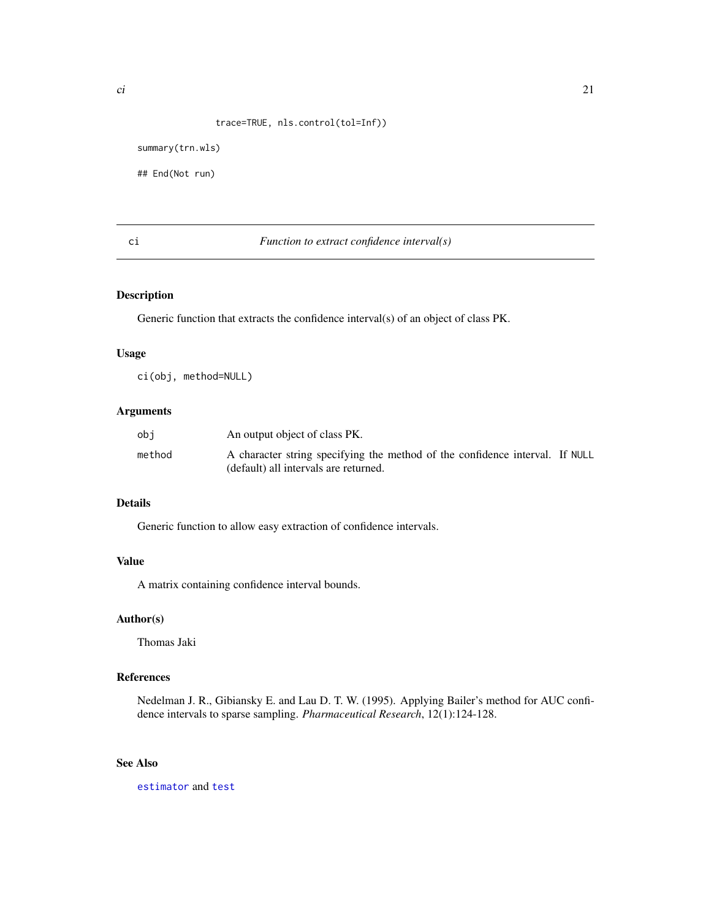#### trace=TRUE, nls.control(tol=Inf))

```
summary(trn.wls)
```
## End(Not run)

<span id="page-20-1"></span>

#### ci *Function to extract confidence interval(s)*

#### Description

Generic function that extracts the confidence interval(s) of an object of class PK.

#### Usage

ci(obj, method=NULL)

#### Arguments

| obi    | An output object of class PK.                                                |  |
|--------|------------------------------------------------------------------------------|--|
| method | A character string specifying the method of the confidence interval. If NULL |  |
|        | (default) all intervals are returned.                                        |  |

#### Details

Generic function to allow easy extraction of confidence intervals.

#### Value

A matrix containing confidence interval bounds.

#### Author(s)

Thomas Jaki

#### References

Nedelman J. R., Gibiansky E. and Lau D. T. W. (1995). Applying Bailer's method for AUC confidence intervals to sparse sampling. *Pharmaceutical Research*, 12(1):124-128.

#### See Also

[estimator](#page-26-1) and [test](#page-39-1)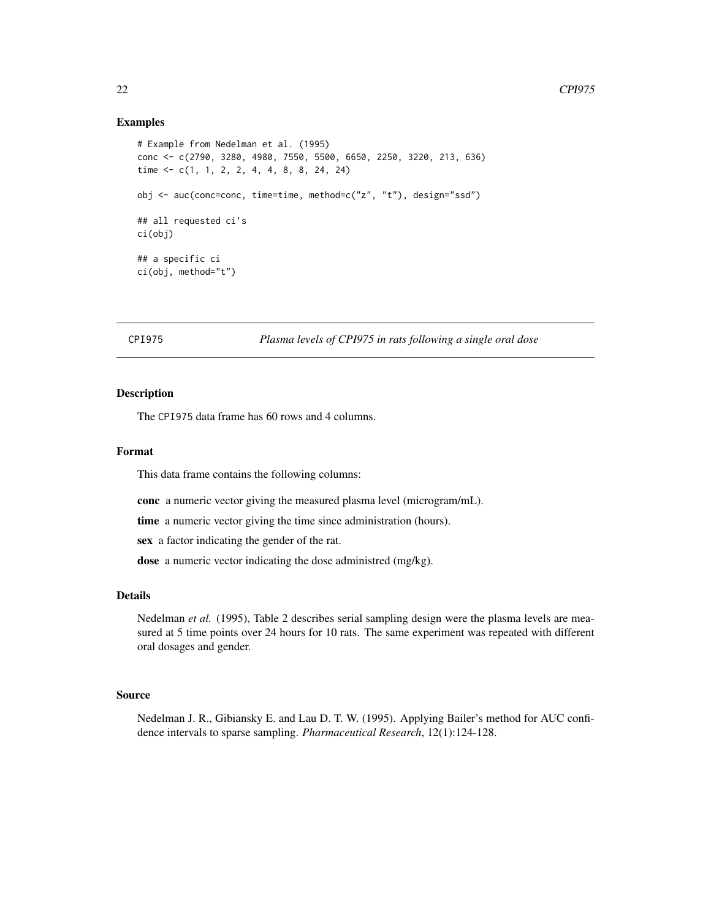#### <span id="page-21-0"></span>Examples

```
# Example from Nedelman et al. (1995)
conc <- c(2790, 3280, 4980, 7550, 5500, 6650, 2250, 3220, 213, 636)
time <- c(1, 1, 2, 2, 4, 4, 8, 8, 24, 24)
obj <- auc(conc=conc, time=time, method=c("z", "t"), design="ssd")
## all requested ci's
ci(obj)
## a specific ci
ci(obj, method="t")
```
CPI975 *Plasma levels of CPI975 in rats following a single oral dose*

#### Description

The CPI975 data frame has 60 rows and 4 columns.

#### Format

This data frame contains the following columns:

conc a numeric vector giving the measured plasma level (microgram/mL).

time a numeric vector giving the time since administration (hours).

sex a factor indicating the gender of the rat.

dose a numeric vector indicating the dose administred (mg/kg).

#### Details

Nedelman *et al.* (1995), Table 2 describes serial sampling design were the plasma levels are measured at 5 time points over 24 hours for 10 rats. The same experiment was repeated with different oral dosages and gender.

#### Source

Nedelman J. R., Gibiansky E. and Lau D. T. W. (1995). Applying Bailer's method for AUC confidence intervals to sparse sampling. *Pharmaceutical Research*, 12(1):124-128.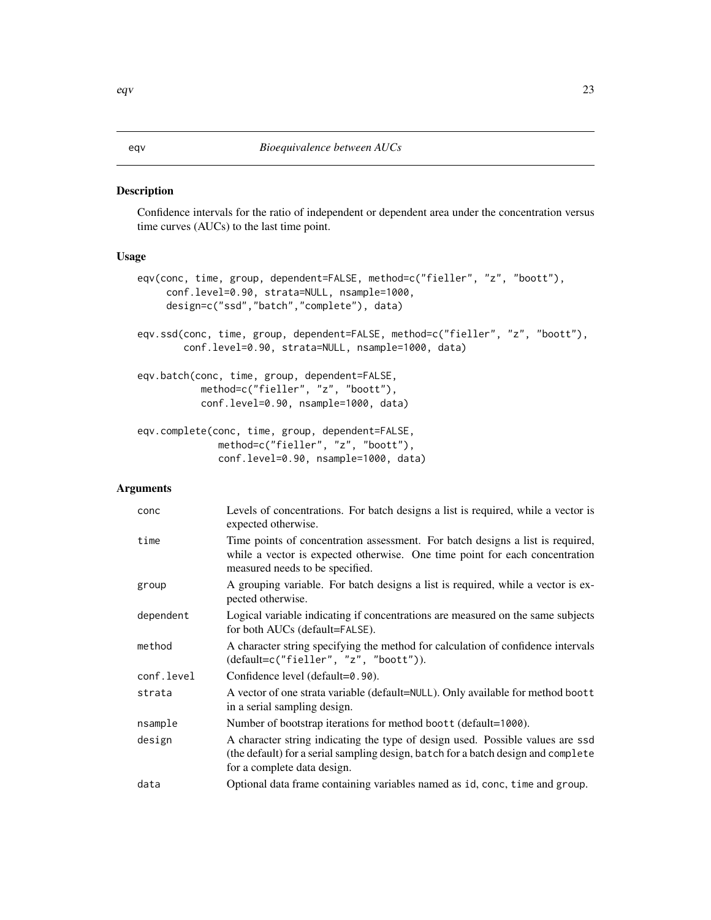#### <span id="page-22-2"></span>Description

Confidence intervals for the ratio of independent or dependent area under the concentration versus time curves (AUCs) to the last time point.

#### Usage

```
eqv(conc, time, group, dependent=FALSE, method=c("fieller", "z", "boott"),
     conf.level=0.90, strata=NULL, nsample=1000,
     design=c("ssd","batch","complete"), data)
eqv.ssd(conc, time, group, dependent=FALSE, method=c("fieller", "z", "boott"),
        conf.level=0.90, strata=NULL, nsample=1000, data)
eqv.batch(conc, time, group, dependent=FALSE,
           method=c("fieller", "z", "boott"),
           conf.level=0.90, nsample=1000, data)
eqv.complete(conc, time, group, dependent=FALSE,
              method=c("fieller", "z", "boott"),
              conf.level=0.90, nsample=1000, data)
```
#### Arguments

| conc       | Levels of concentrations. For batch designs a list is required, while a vector is<br>expected otherwise.                                                                                           |
|------------|----------------------------------------------------------------------------------------------------------------------------------------------------------------------------------------------------|
| time       | Time points of concentration assessment. For batch designs a list is required,<br>while a vector is expected otherwise. One time point for each concentration<br>measured needs to be specified.   |
| group      | A grouping variable. For batch designs a list is required, while a vector is ex-<br>pected otherwise.                                                                                              |
| dependent  | Logical variable indicating if concentrations are measured on the same subjects<br>for both AUCs (default=FALSE).                                                                                  |
| method     | A character string specifying the method for calculation of confidence intervals<br>$(default=c("fielder", "z", "boott"))$ .                                                                       |
| conf.level | Confidence level (default=0.90).                                                                                                                                                                   |
| strata     | A vector of one strata variable (default=NULL). Only available for method boott<br>in a serial sampling design.                                                                                    |
| nsample    | Number of bootstrap iterations for method boott (default=1000).                                                                                                                                    |
| design     | A character string indicating the type of design used. Possible values are ssd<br>(the default) for a serial sampling design, batch for a batch design and complete<br>for a complete data design. |
| data       | Optional data frame containing variables named as id, conc, time and group.                                                                                                                        |

<span id="page-22-1"></span><span id="page-22-0"></span>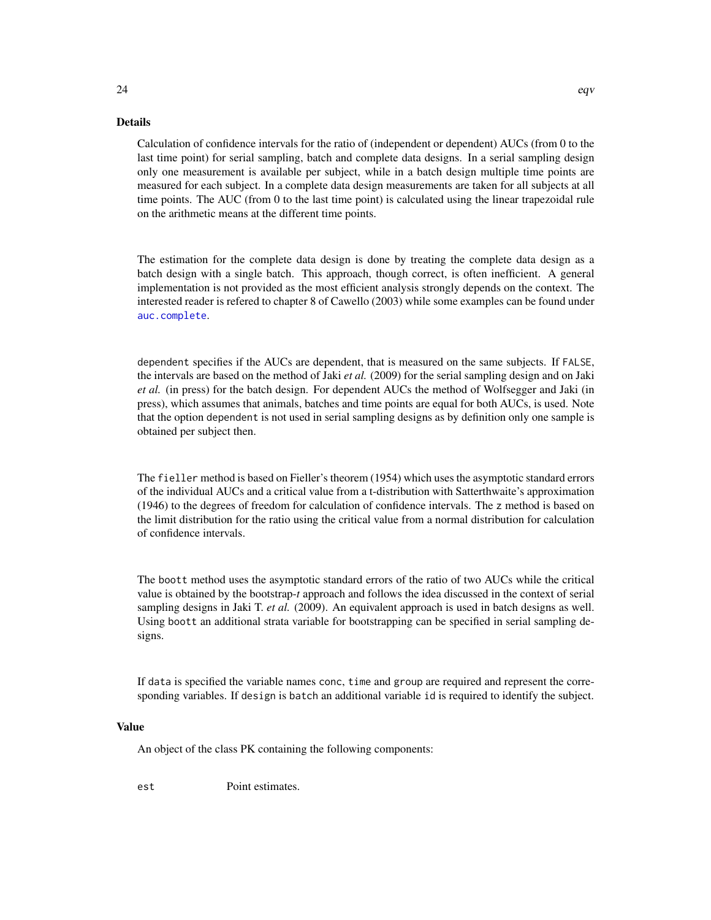#### Details

Calculation of confidence intervals for the ratio of (independent or dependent) AUCs (from 0 to the last time point) for serial sampling, batch and complete data designs. In a serial sampling design only one measurement is available per subject, while in a batch design multiple time points are measured for each subject. In a complete data design measurements are taken for all subjects at all time points. The AUC (from 0 to the last time point) is calculated using the linear trapezoidal rule on the arithmetic means at the different time points.

The estimation for the complete data design is done by treating the complete data design as a batch design with a single batch. This approach, though correct, is often inefficient. A general implementation is not provided as the most efficient analysis strongly depends on the context. The interested reader is refered to chapter 8 of Cawello (2003) while some examples can be found under [auc.complete](#page-10-1).

dependent specifies if the AUCs are dependent, that is measured on the same subjects. If FALSE, the intervals are based on the method of Jaki *et al.* (2009) for the serial sampling design and on Jaki *et al.* (in press) for the batch design. For dependent AUCs the method of Wolfsegger and Jaki (in press), which assumes that animals, batches and time points are equal for both AUCs, is used. Note that the option dependent is not used in serial sampling designs as by definition only one sample is obtained per subject then.

The fieller method is based on Fieller's theorem (1954) which uses the asymptotic standard errors of the individual AUCs and a critical value from a t-distribution with Satterthwaite's approximation (1946) to the degrees of freedom for calculation of confidence intervals. The z method is based on the limit distribution for the ratio using the critical value from a normal distribution for calculation of confidence intervals.

The boott method uses the asymptotic standard errors of the ratio of two AUCs while the critical value is obtained by the bootstrap-*t* approach and follows the idea discussed in the context of serial sampling designs in Jaki T. *et al.* (2009). An equivalent approach is used in batch designs as well. Using boott an additional strata variable for bootstrapping can be specified in serial sampling designs.

If data is specified the variable names conc, time and group are required and represent the corresponding variables. If design is batch an additional variable id is required to identify the subject.

#### Value

An object of the class PK containing the following components:

est Point estimates.

<span id="page-23-0"></span>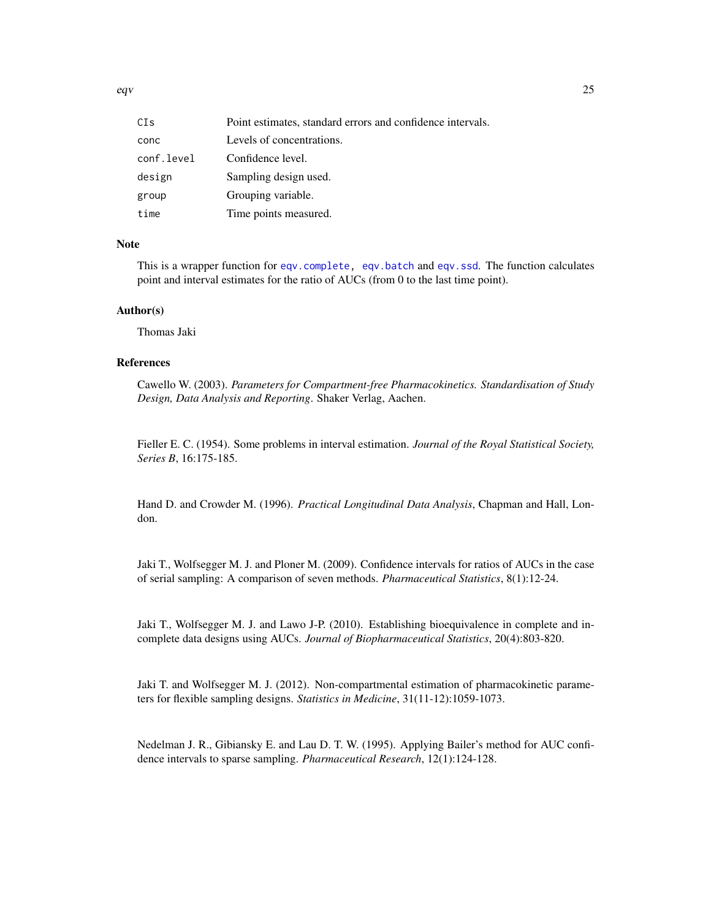<span id="page-24-0"></span>eqv<sup>25</sup>

| CIs        | Point estimates, standard errors and confidence intervals. |
|------------|------------------------------------------------------------|
| conc       | Levels of concentrations.                                  |
| conf.level | Confidence level.                                          |
| design     | Sampling design used.                                      |
| group      | Grouping variable.                                         |
| time       | Time points measured.                                      |

#### Note

This is a wrapper function for [eqv.complete,](#page-22-2) [eqv.batch](#page-22-2) and [eqv.ssd](#page-22-2). The function calculates point and interval estimates for the ratio of AUCs (from 0 to the last time point).

#### Author(s)

Thomas Jaki

#### References

Cawello W. (2003). *Parameters for Compartment-free Pharmacokinetics. Standardisation of Study Design, Data Analysis and Reporting*. Shaker Verlag, Aachen.

Fieller E. C. (1954). Some problems in interval estimation. *Journal of the Royal Statistical Society, Series B*, 16:175-185.

Hand D. and Crowder M. (1996). *Practical Longitudinal Data Analysis*, Chapman and Hall, London.

Jaki T., Wolfsegger M. J. and Ploner M. (2009). Confidence intervals for ratios of AUCs in the case of serial sampling: A comparison of seven methods. *Pharmaceutical Statistics*, 8(1):12-24.

Jaki T., Wolfsegger M. J. and Lawo J-P. (2010). Establishing bioequivalence in complete and incomplete data designs using AUCs. *Journal of Biopharmaceutical Statistics*, 20(4):803-820.

Jaki T. and Wolfsegger M. J. (2012). Non-compartmental estimation of pharmacokinetic parameters for flexible sampling designs. *Statistics in Medicine*, 31(11-12):1059-1073.

Nedelman J. R., Gibiansky E. and Lau D. T. W. (1995). Applying Bailer's method for AUC confidence intervals to sparse sampling. *Pharmaceutical Research*, 12(1):124-128.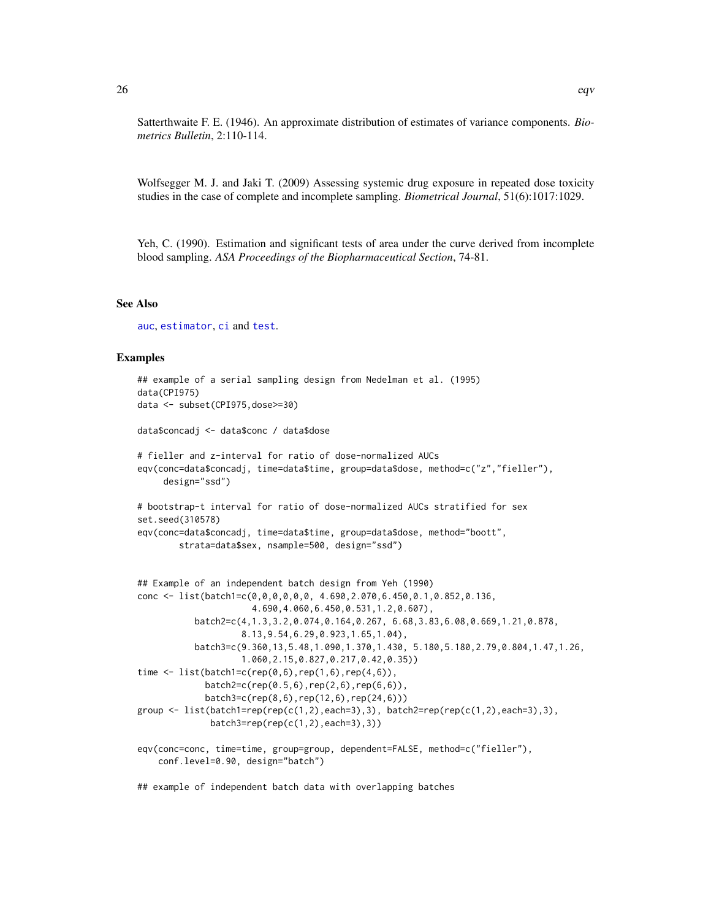<span id="page-25-0"></span>Satterthwaite F. E. (1946). An approximate distribution of estimates of variance components. *Biometrics Bulletin*, 2:110-114.

Wolfsegger M. J. and Jaki T. (2009) Assessing systemic drug exposure in repeated dose toxicity studies in the case of complete and incomplete sampling. *Biometrical Journal*, 51(6):1017:1029.

Yeh, C. (1990). Estimation and significant tests of area under the curve derived from incomplete blood sampling. *ASA Proceedings of the Biopharmaceutical Section*, 74-81.

#### See Also

[auc](#page-4-2), [estimator](#page-26-1), [ci](#page-20-1) and [test](#page-39-1).

#### Examples

```
## example of a serial sampling design from Nedelman et al. (1995)
data(CPI975)
data <- subset(CPI975,dose>=30)
data$concadj <- data$conc / data$dose
# fieller and z-interval for ratio of dose-normalized AUCs
eqv(conc=data$concadj, time=data$time, group=data$dose, method=c("z","fieller"),
     design="ssd")
# bootstrap-t interval for ratio of dose-normalized AUCs stratified for sex
set.seed(310578)
eqv(conc=data$concadj, time=data$time, group=data$dose, method="boott",
        strata=data$sex, nsample=500, design="ssd")
## Example of an independent batch design from Yeh (1990)
conc <- list(batch1=c(0,0,0,0,0,0, 4.690,2.070,6.450,0.1,0.852,0.136,
                      4.690,4.060,6.450,0.531,1.2,0.607),
           batch2=c(4,1.3,3.2,0.074,0.164,0.267, 6.68,3.83,6.08,0.669,1.21,0.878,
                    8.13,9.54,6.29,0.923,1.65,1.04),
           batch3=c(9.360,13,5.48,1.090,1.370,1.430, 5.180,5.180,2.79,0.804,1.47,1.26,
                    1.060,2.15,0.827,0.217,0.42,0.35))
time \leq list(batch1=c(rep(0,6),rep(1,6),rep(4,6)),
             batch2=c(rep(0.5,6),rep(2,6),rep(6,6)),
             batch3=c(rep(8,6),rep(12,6),rep(24,6)))
group \leq list(batch1=rep(rep(c(1,2),each=3),3), batch2=rep(rep(c(1,2),each=3),3),
              batch3=rep(rep(c(1,2),each=3),3))
eqv(conc=conc, time=time, group=group, dependent=FALSE, method=c("fieller"),
   conf.level=0.90, design="batch")
```
## example of independent batch data with overlapping batches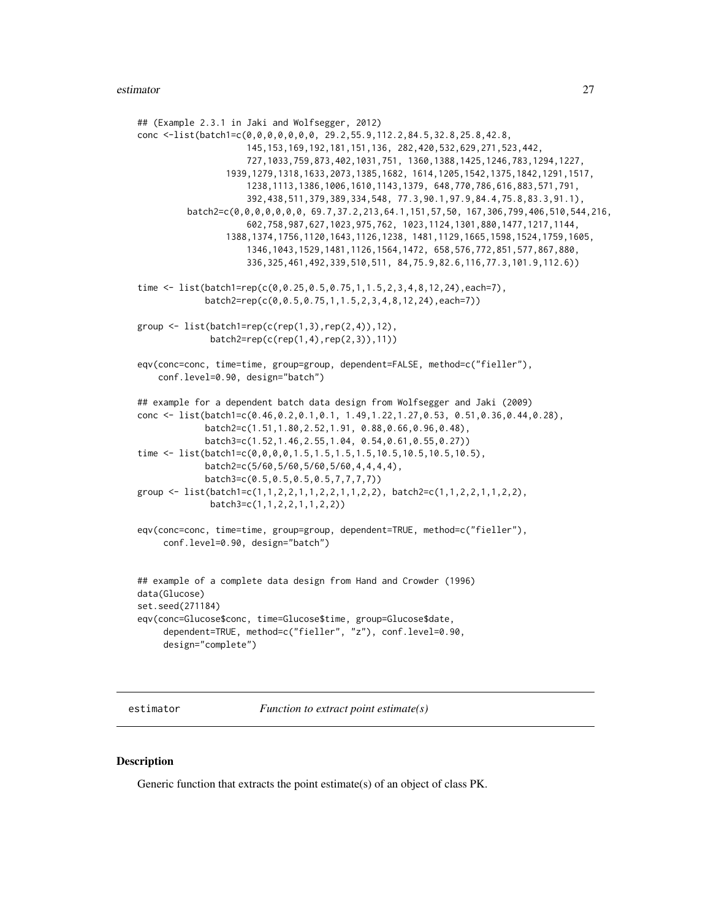#### <span id="page-26-0"></span>estimator 27

```
## (Example 2.3.1 in Jaki and Wolfsegger, 2012)
conc <-list(batch1=c(0,0,0,0,0,0,0, 29.2,55.9,112.2,84.5,32.8,25.8,42.8,
                     145,153,169,192,181,151,136, 282,420,532,629,271,523,442,
                     727,1033,759,873,402,1031,751, 1360,1388,1425,1246,783,1294,1227,
                 1939,1279,1318,1633,2073,1385,1682, 1614,1205,1542,1375,1842,1291,1517,
                     1238,1113,1386,1006,1610,1143,1379, 648,770,786,616,883,571,791,
                     392,438,511,379,389,334,548, 77.3,90.1,97.9,84.4,75.8,83.3,91.1),
         batch2=c(0,0,0,0,0,0,0, 69.7,37.2,213,64.1,151,57,50, 167,306,799,406,510,544,216,
                     602,758,987,627,1023,975,762, 1023,1124,1301,880,1477,1217,1144,
                 1388,1374,1756,1120,1643,1126,1238, 1481,1129,1665,1598,1524,1759,1605,
                     1346,1043,1529,1481,1126,1564,1472, 658,576,772,851,577,867,880,
                     336,325,461,492,339,510,511, 84,75.9,82.6,116,77.3,101.9,112.6))
time <- list(batch1=rep(c(0,0.25,0.5,0.75,1,1.5,2,3,4,8,12,24),each=7),
             batch2=rep(c(0,0.5,0.75,1,1.5,2,3,4,8,12,24),each=7))
group <- list(batch1=rep(c(rep(1,3),rep(2,4)),12),
              batch2=rep(c(rep(1,4),rep(2,3)),11))
eqv(conc=conc, time=time, group=group, dependent=FALSE, method=c("fieller"),
    conf.level=0.90, design="batch")
## example for a dependent batch data design from Wolfsegger and Jaki (2009)
conc <- list(batch1=c(0.46,0.2,0.1,0.1, 1.49,1.22,1.27,0.53, 0.51,0.36,0.44,0.28),
             batch2=c(1.51,1.80,2.52,1.91, 0.88,0.66,0.96,0.48),
             batch3=c(1.52,1.46,2.55,1.04, 0.54,0.61,0.55,0.27))
time <- list(batch1=c(0,0,0,0,1.5,1.5,1.5,1.5,10.5,10.5,10.5,10.5),
             batch2=c(5/60,5/60,5/60,5/60,4,4,4,4),
             batch3=c(0.5,0.5,0.5,0.5,7,7,7,7))
group <- list(batch1=c(1,1,2,2,1,1,2,2,1,1,2,2), batch2=c(1,1,2,2,1,1,2,2),
              batch3=c(1,1,2,2,1,1,2,2))
eqv(conc=conc, time=time, group=group, dependent=TRUE, method=c("fieller"),
     conf.level=0.90, design="batch")
## example of a complete data design from Hand and Crowder (1996)
data(Glucose)
set.seed(271184)
eqv(conc=Glucose$conc, time=Glucose$time, group=Glucose$date,
     dependent=TRUE, method=c("fieller", "z"), conf.level=0.90,
     design="complete")
```
<span id="page-26-1"></span>estimator *Function to extract point estimate(s)*

#### Description

Generic function that extracts the point estimate(s) of an object of class PK.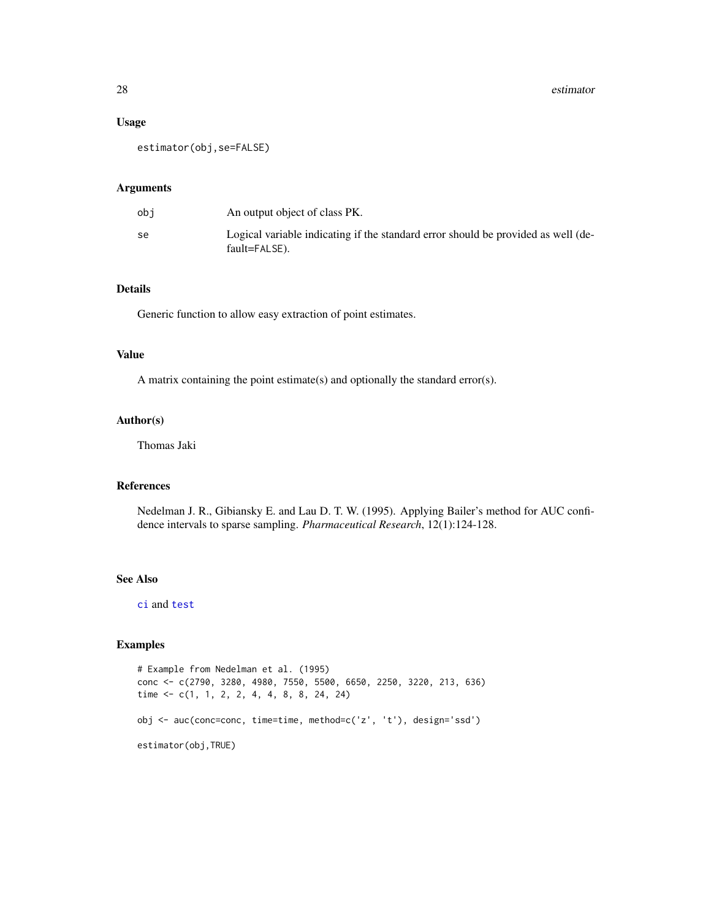#### Usage

estimator(obj,se=FALSE)

#### Arguments

| obi | An output object of class PK.                                                                      |
|-----|----------------------------------------------------------------------------------------------------|
| se  | Logical variable indicating if the standard error should be provided as well (de-<br>fault=FALSE). |

#### Details

Generic function to allow easy extraction of point estimates.

#### Value

A matrix containing the point estimate(s) and optionally the standard error(s).

#### Author(s)

Thomas Jaki

#### References

Nedelman J. R., Gibiansky E. and Lau D. T. W. (1995). Applying Bailer's method for AUC confidence intervals to sparse sampling. *Pharmaceutical Research*, 12(1):124-128.

#### See Also

[ci](#page-20-1) and [test](#page-39-1)

#### Examples

```
# Example from Nedelman et al. (1995)
conc <- c(2790, 3280, 4980, 7550, 5500, 6650, 2250, 3220, 213, 636)
time <- c(1, 1, 2, 2, 4, 4, 8, 8, 24, 24)
obj <- auc(conc=conc, time=time, method=c('z', 't'), design='ssd')
estimator(obj,TRUE)
```
<span id="page-27-0"></span>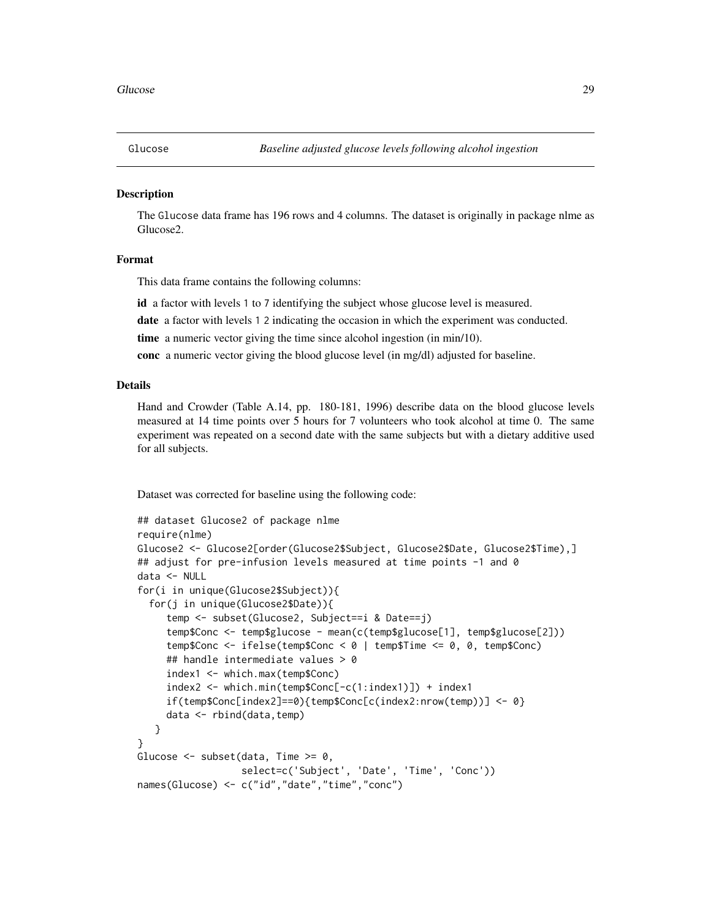<span id="page-28-0"></span>

#### **Description**

The Glucose data frame has 196 rows and 4 columns. The dataset is originally in package nlme as Glucose2.

#### Format

This data frame contains the following columns:

id a factor with levels 1 to 7 identifying the subject whose glucose level is measured.

date a factor with levels 1 2 indicating the occasion in which the experiment was conducted.

time a numeric vector giving the time since alcohol ingestion (in min/10).

conc a numeric vector giving the blood glucose level (in mg/dl) adjusted for baseline.

#### Details

Hand and Crowder (Table A.14, pp. 180-181, 1996) describe data on the blood glucose levels measured at 14 time points over 5 hours for 7 volunteers who took alcohol at time 0. The same experiment was repeated on a second date with the same subjects but with a dietary additive used for all subjects.

Dataset was corrected for baseline using the following code:

```
## dataset Glucose2 of package nlme
require(nlme)
Glucose2 <- Glucose2[order(Glucose2$Subject, Glucose2$Date, Glucose2$Time),]
## adjust for pre-infusion levels measured at time points -1 and 0
data <- NULL
for(i in unique(Glucose2$Subject)){
  for(j in unique(Glucose2$Date)){
     temp <- subset(Glucose2, Subject==i & Date==j)
     temp$Conc <- temp$glucose - mean(c(temp$glucose[1], temp$glucose[2]))
     temp$Conc <- ifelse(temp$Conc < 0 | temp$Time <= 0, 0, temp$Conc)
     ## handle intermediate values > 0
     index1 <- which.max(temp$Conc)
     index2 <- which.min(temp$Conc[-c(1:index1)]) + index1
     if(temp$Conc[index2]==0){temp$Conc[c(index2:nrow(temp))] <- 0}
     data <- rbind(data,temp)
   }
}
Glucose \leq subset(data, Time \geq 0,
                  select=c('Subject', 'Date', 'Time', 'Conc'))
names(Glucose) <- c("id","date","time","conc")
```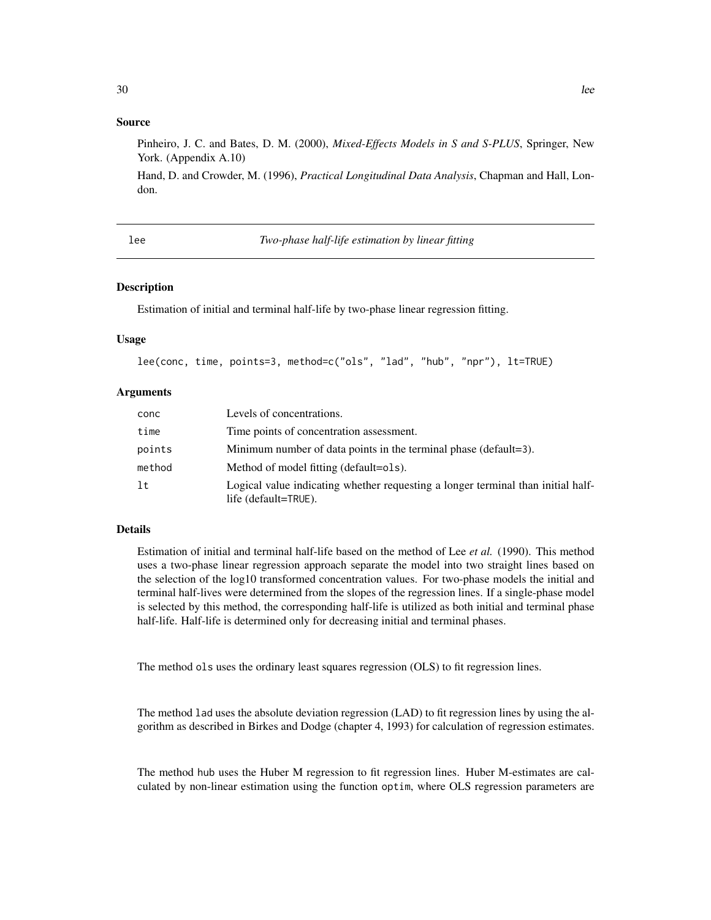#### <span id="page-29-0"></span>Source

Pinheiro, J. C. and Bates, D. M. (2000), *Mixed-Effects Models in S and S-PLUS*, Springer, New York. (Appendix A.10)

Hand, D. and Crowder, M. (1996), *Practical Longitudinal Data Analysis*, Chapman and Hall, London.

<span id="page-29-1"></span>lee *Two-phase half-life estimation by linear fitting*

#### **Description**

Estimation of initial and terminal half-life by two-phase linear regression fitting.

#### Usage

```
lee(conc, time, points=3, method=c("ols", "lad", "hub", "npr"), lt=TRUE)
```
#### Arguments

| conc   | Levels of concentrations.                                                                                |
|--------|----------------------------------------------------------------------------------------------------------|
| time   | Time points of concentration assessment.                                                                 |
| points | Minimum number of data points in the terminal phase (default=3).                                         |
| method | Method of model fitting (default=ols).                                                                   |
| 1t     | Logical value indicating whether requesting a longer terminal than initial half-<br>life (default=TRUE). |

#### Details

Estimation of initial and terminal half-life based on the method of Lee *et al.* (1990). This method uses a two-phase linear regression approach separate the model into two straight lines based on the selection of the log10 transformed concentration values. For two-phase models the initial and terminal half-lives were determined from the slopes of the regression lines. If a single-phase model is selected by this method, the corresponding half-life is utilized as both initial and terminal phase half-life. Half-life is determined only for decreasing initial and terminal phases.

The method ols uses the ordinary least squares regression (OLS) to fit regression lines.

The method lad uses the absolute deviation regression (LAD) to fit regression lines by using the algorithm as described in Birkes and Dodge (chapter 4, 1993) for calculation of regression estimates.

The method hub uses the Huber M regression to fit regression lines. Huber M-estimates are calculated by non-linear estimation using the function optim, where OLS regression parameters are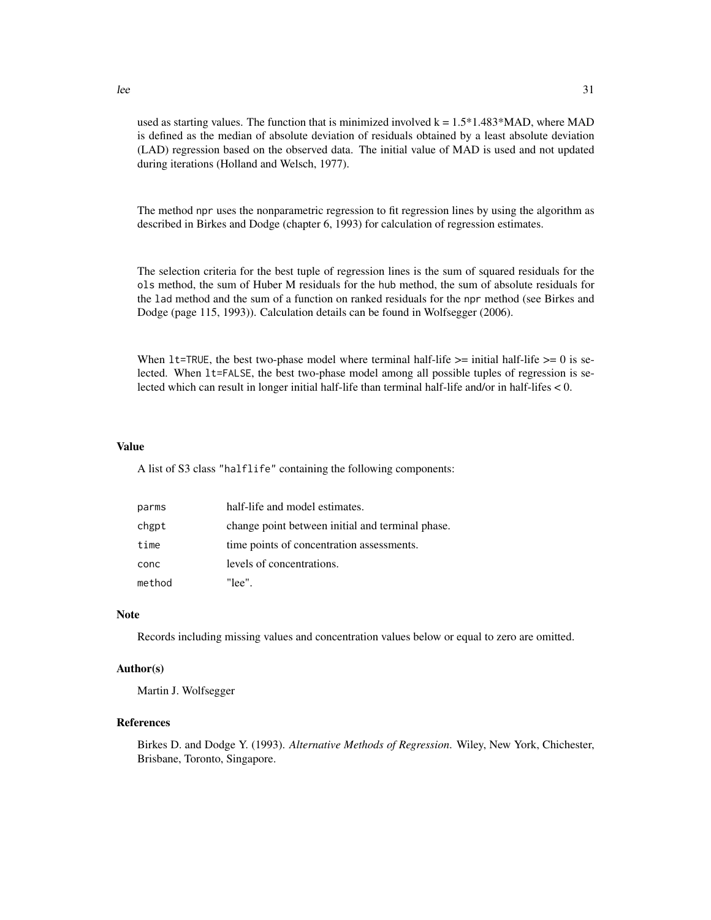$l$ ee  $31$ 

used as starting values. The function that is minimized involved  $k = 1.5*1.483*MAD$ , where MAD is defined as the median of absolute deviation of residuals obtained by a least absolute deviation (LAD) regression based on the observed data. The initial value of MAD is used and not updated during iterations (Holland and Welsch, 1977).

The method npr uses the nonparametric regression to fit regression lines by using the algorithm as described in Birkes and Dodge (chapter 6, 1993) for calculation of regression estimates.

The selection criteria for the best tuple of regression lines is the sum of squared residuals for the ols method, the sum of Huber M residuals for the hub method, the sum of absolute residuals for the lad method and the sum of a function on ranked residuals for the npr method (see Birkes and Dodge (page 115, 1993)). Calculation details can be found in Wolfsegger (2006).

When  $lt = TRUE$ , the best two-phase model where terminal half-life  $>=$  initial half-life  $>= 0$  is selected. When lt=FALSE, the best two-phase model among all possible tuples of regression is selected which can result in longer initial half-life than terminal half-life and/or in half-lifes < 0.

#### Value

A list of S3 class "halflife" containing the following components:

| parms  | half-life and model estimates.                   |
|--------|--------------------------------------------------|
| chgpt  | change point between initial and terminal phase. |
| time   | time points of concentration assessments.        |
| conc   | levels of concentrations.                        |
| method | "lee".                                           |

#### Note

Records including missing values and concentration values below or equal to zero are omitted.

#### Author(s)

Martin J. Wolfsegger

#### References

Birkes D. and Dodge Y. (1993). *Alternative Methods of Regression*. Wiley, New York, Chichester, Brisbane, Toronto, Singapore.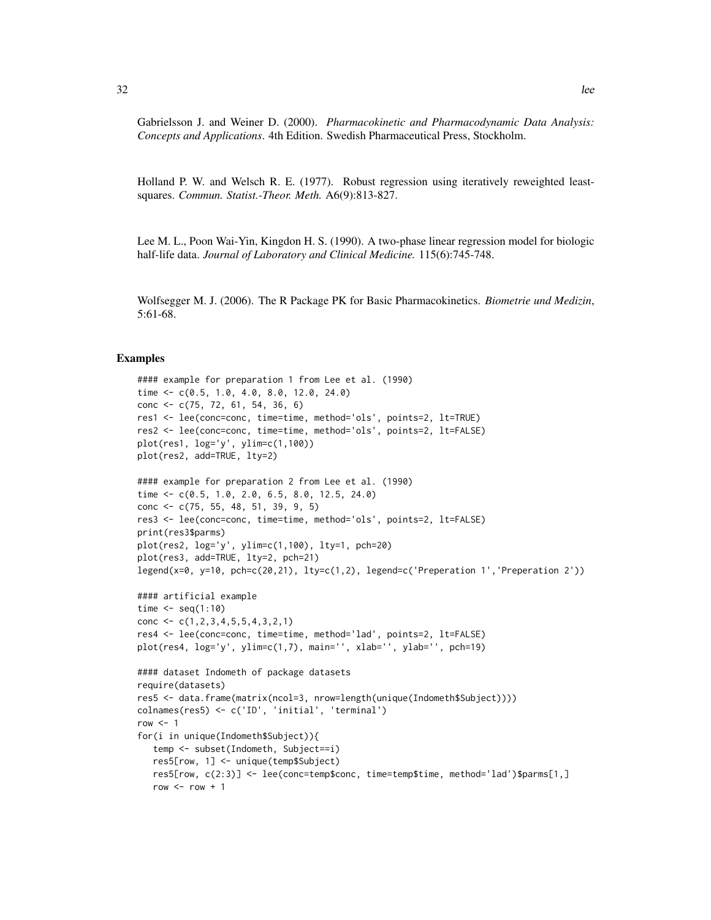Gabrielsson J. and Weiner D. (2000). *Pharmacokinetic and Pharmacodynamic Data Analysis: Concepts and Applications*. 4th Edition. Swedish Pharmaceutical Press, Stockholm.

Holland P. W. and Welsch R. E. (1977). Robust regression using iteratively reweighted leastsquares. *Commun. Statist.-Theor. Meth.* A6(9):813-827.

Lee M. L., Poon Wai-Yin, Kingdon H. S. (1990). A two-phase linear regression model for biologic half-life data. *Journal of Laboratory and Clinical Medicine.* 115(6):745-748.

Wolfsegger M. J. (2006). The R Package PK for Basic Pharmacokinetics. *Biometrie und Medizin*, 5:61-68.

#### Examples

```
#### example for preparation 1 from Lee et al. (1990)
time <- c(0.5, 1.0, 4.0, 8.0, 12.0, 24.0)
conc <- c(75, 72, 61, 54, 36, 6)
res1 <- lee(conc=conc, time=time, method='ols', points=2, lt=TRUE)
res2 <- lee(conc=conc, time=time, method='ols', points=2, lt=FALSE)
plot(res1, log='y', ylim=c(1,100))
plot(res2, add=TRUE, lty=2)
#### example for preparation 2 from Lee et al. (1990)
time <- c(0.5, 1.0, 2.0, 6.5, 8.0, 12.5, 24.0)
conc <- c(75, 55, 48, 51, 39, 9, 5)
res3 <- lee(conc=conc, time=time, method='ols', points=2, lt=FALSE)
print(res3$parms)
plot(res2, log='y', ylim=c(1,100), lty=1, pch=20)
plot(res3, add=TRUE, lty=2, pch=21)
legend(x=0, y=10, pch=c(20,21), lty=c(1,2), legend=c('Preperation 1','Preperation 2'))
#### artificial example
time \leq seq(1:10)
conc \leq c(1,2,3,4,5,5,4,3,2,1)
res4 <- lee(conc=conc, time=time, method='lad', points=2, lt=FALSE)
plot(res4, log='y', ylim=c(1,7), main='', xlab='', ylab='', pch=19)
#### dataset Indometh of package datasets
require(datasets)
res5 <- data.frame(matrix(ncol=3, nrow=length(unique(Indometh$Subject))))
colnames(res5) <- c('ID', 'initial', 'terminal')
row < -1for(i in unique(Indometh$Subject)){
   temp <- subset(Indometh, Subject==i)
   res5[row, 1] <- unique(temp$Subject)
   res5[row, c(2:3)] <- lee(conc=temp$conc, time=temp$time, method='lad')$parms[1,]
   row <- row +1
```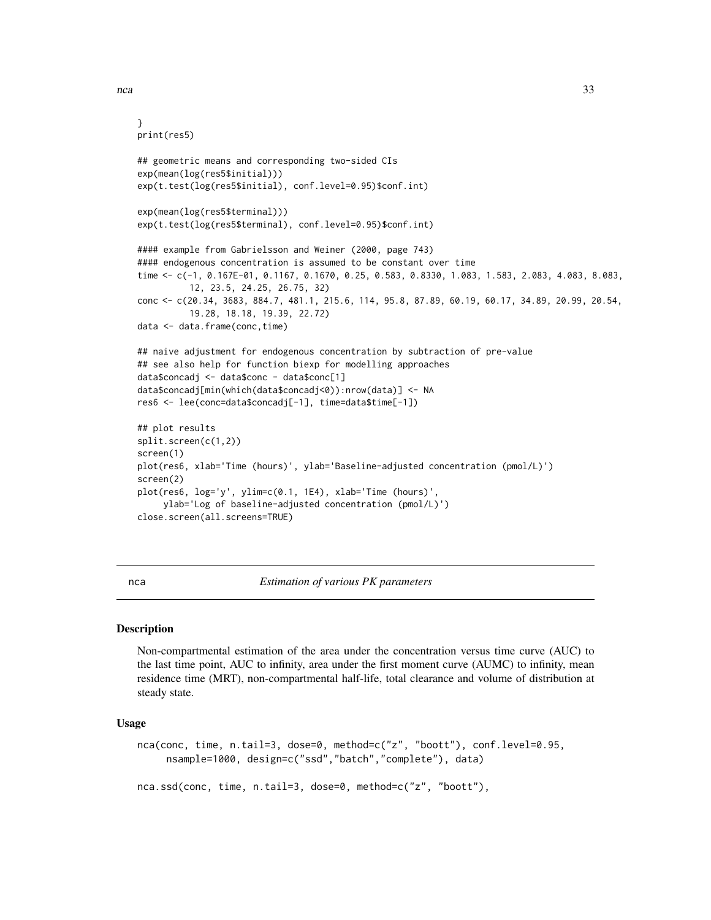<span id="page-32-0"></span> $nca$  33

```
}
print(res5)
## geometric means and corresponding two-sided CIs
exp(mean(log(res5$initial)))
exp(t.test(log(res5$initial), conf.level=0.95)$conf.int)
exp(mean(log(res5$terminal)))
exp(t.test(log(res5$terminal), conf.level=0.95)$conf.int)
#### example from Gabrielsson and Weiner (2000, page 743)
#### endogenous concentration is assumed to be constant over time
time <- c(-1, 0.167E-01, 0.1167, 0.1670, 0.25, 0.583, 0.8330, 1.083, 1.583, 2.083, 4.083, 8.083,
          12, 23.5, 24.25, 26.75, 32)
conc <- c(20.34, 3683, 884.7, 481.1, 215.6, 114, 95.8, 87.89, 60.19, 60.17, 34.89, 20.99, 20.54,
          19.28, 18.18, 19.39, 22.72)
data <- data.frame(conc,time)
## naive adjustment for endogenous concentration by subtraction of pre-value
## see also help for function biexp for modelling approaches
data$concadj <- data$conc - data$conc[1]
data$concadj[min(which(data$concadj<0)):nrow(data)] <- NA
res6 <- lee(conc=data$concadj[-1], time=data$time[-1])
## plot results
split.screen(c(1,2))
screen(1)
plot(res6, xlab='Time (hours)', ylab='Baseline-adjusted concentration (pmol/L)')
screen(2)
plot(res6, log='y', ylim=c(0.1, 1E4), xlab='Time (hours)',
     ylab='Log of baseline-adjusted concentration (pmol/L)')
close.screen(all.screens=TRUE)
```
<span id="page-32-1"></span>nca *Estimation of various PK parameters*

#### **Description**

Non-compartmental estimation of the area under the concentration versus time curve (AUC) to the last time point, AUC to infinity, area under the first moment curve (AUMC) to infinity, mean residence time (MRT), non-compartmental half-life, total clearance and volume of distribution at steady state.

#### Usage

```
nca(conc, time, n.tail=3, dose=0, method=c("z", "boott"), conf.level=0.95,
     nsample=1000, design=c("ssd","batch","complete"), data)
```
nca.ssd(conc, time, n.tail=3, dose=0, method=c("z", "boott"),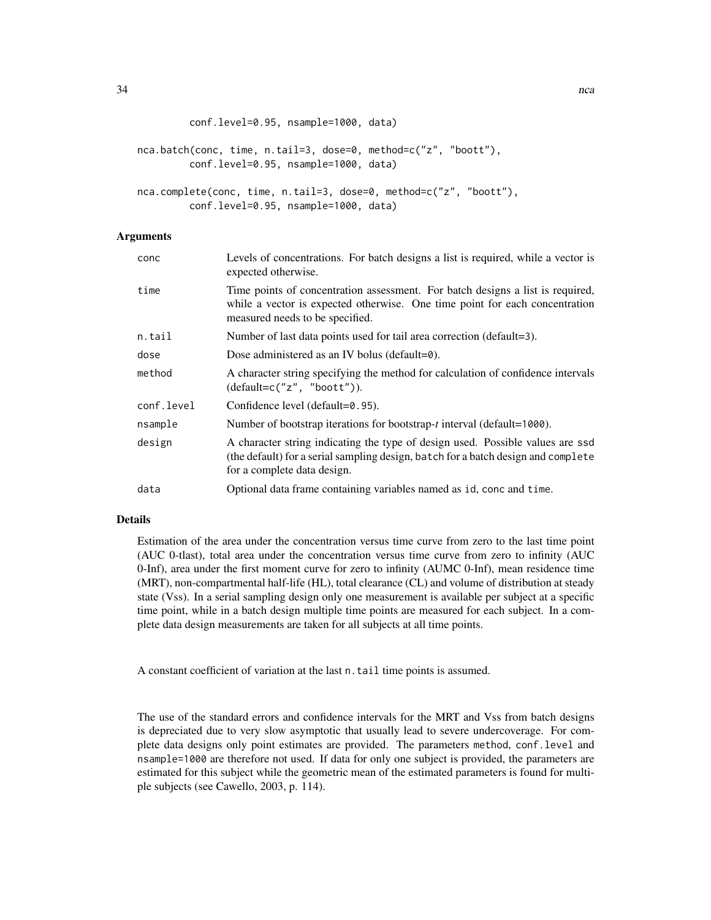```
conf.level=0.95, nsample=1000, data)
```

```
nca.batch(conc, time, n.tail=3, dose=0, method=c("z", "boott"),
         conf.level=0.95, nsample=1000, data)
```

```
nca.complete(conc, time, n.tail=3, dose=0, method=c("z", "boott"),
         conf.level=0.95, nsample=1000, data)
```
#### Arguments

| conc       | Levels of concentrations. For batch designs a list is required, while a vector is<br>expected otherwise.                                                                                           |
|------------|----------------------------------------------------------------------------------------------------------------------------------------------------------------------------------------------------|
| time       | Time points of concentration assessment. For batch designs a list is required,<br>while a vector is expected otherwise. One time point for each concentration<br>measured needs to be specified.   |
| n.tail     | Number of last data points used for tail area correction (default=3).                                                                                                                              |
| dose       | Dose administered as an IV bolus (default= $\theta$ ).                                                                                                                                             |
| method     | A character string specifying the method for calculation of confidence intervals<br>$(detault=c("z", "boot't").$                                                                                   |
| conf.level | Confidence level (default=0.95).                                                                                                                                                                   |
| nsample    | Number of bootstrap iterations for bootstrap- <i>t</i> interval (default=1000).                                                                                                                    |
| design     | A character string indicating the type of design used. Possible values are ssd<br>(the default) for a serial sampling design, batch for a batch design and complete<br>for a complete data design. |
| data       | Optional data frame containing variables named as id, conc and time.                                                                                                                               |
|            |                                                                                                                                                                                                    |

#### Details

Estimation of the area under the concentration versus time curve from zero to the last time point (AUC 0-tlast), total area under the concentration versus time curve from zero to infinity (AUC 0-Inf), area under the first moment curve for zero to infinity (AUMC 0-Inf), mean residence time (MRT), non-compartmental half-life (HL), total clearance (CL) and volume of distribution at steady state (Vss). In a serial sampling design only one measurement is available per subject at a specific time point, while in a batch design multiple time points are measured for each subject. In a complete data design measurements are taken for all subjects at all time points.

A constant coefficient of variation at the last n.tail time points is assumed.

The use of the standard errors and confidence intervals for the MRT and Vss from batch designs is depreciated due to very slow asymptotic that usually lead to severe undercoverage. For complete data designs only point estimates are provided. The parameters method, conf.level and nsample=1000 are therefore not used. If data for only one subject is provided, the parameters are estimated for this subject while the geometric mean of the estimated parameters is found for multiple subjects (see Cawello, 2003, p. 114).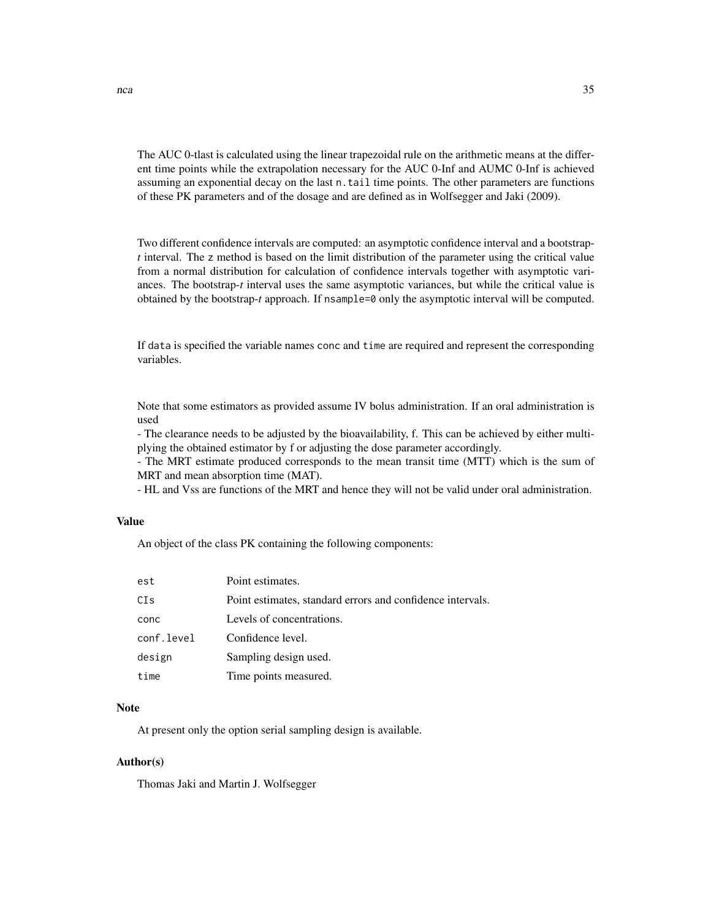The AUC 0-tlast is calculated using the linear trapezoidal rule on the arithmetic means at the different time points while the extrapolation necessary for the AUC 0-Inf and AUMC 0-Inf is achieved assuming an exponential decay on the last n.tail time points. The other parameters are functions of these PK parameters and of the dosage and are defined as in Wolfsegger and Jaki (2009).

Two different confidence intervals are computed: an asymptotic confidence interval and a bootstrap*t* interval. The z method is based on the limit distribution of the parameter using the critical value from a normal distribution for calculation of confidence intervals together with asymptotic variances. The bootstrap-*t* interval uses the same asymptotic variances, but while the critical value is obtained by the bootstrap-*t* approach. If nsample=0 only the asymptotic interval will be computed.

If data is specified the variable names conc and time are required and represent the corresponding variables.

Note that some estimators as provided assume IV bolus administration. If an oral administration is used

- The clearance needs to be adjusted by the bioavailability, f. This can be achieved by either multiplying the obtained estimator by f or adjusting the dose parameter accordingly.

- The MRT estimate produced corresponds to the mean transit time (MTT) which is the sum of MRT and mean absorption time (MAT).

- HL and Vss are functions of the MRT and hence they will not be valid under oral administration.

#### Value

An object of the class PK containing the following components:

| est        | Point estimates.                                           |
|------------|------------------------------------------------------------|
| CIs        | Point estimates, standard errors and confidence intervals. |
| conc       | Levels of concentrations.                                  |
| conf.level | Confidence level.                                          |
| design     | Sampling design used.                                      |
| time       | Time points measured.                                      |

#### **Note**

At present only the option serial sampling design is available.

#### Author(s)

Thomas Jaki and Martin J. Wolfsegger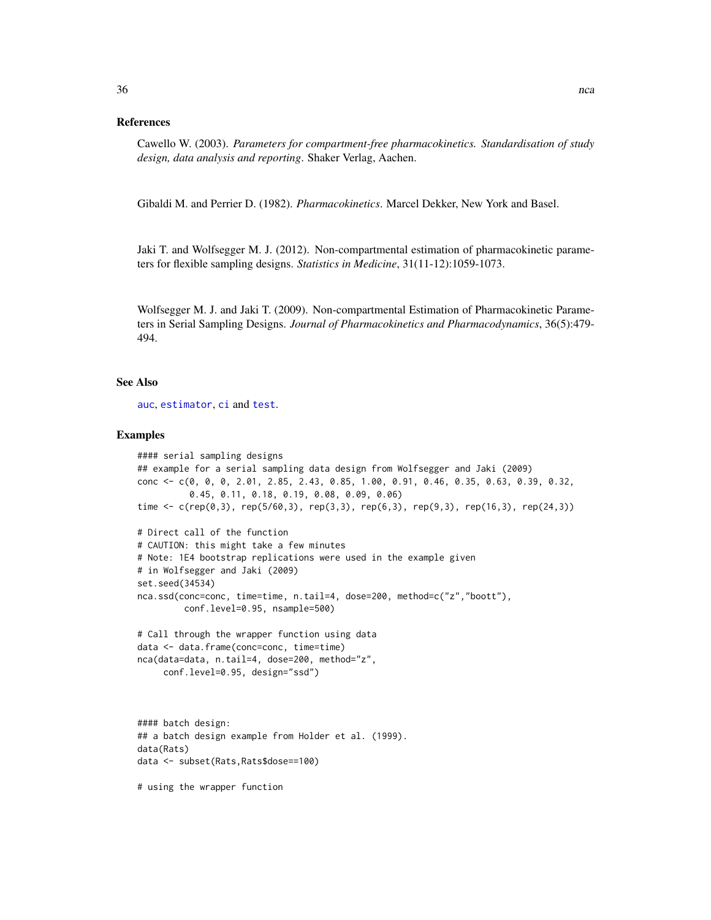#### <span id="page-35-0"></span>References

Cawello W. (2003). *Parameters for compartment-free pharmacokinetics. Standardisation of study design, data analysis and reporting*. Shaker Verlag, Aachen.

Gibaldi M. and Perrier D. (1982). *Pharmacokinetics*. Marcel Dekker, New York and Basel.

Jaki T. and Wolfsegger M. J. (2012). Non-compartmental estimation of pharmacokinetic parameters for flexible sampling designs. *Statistics in Medicine*, 31(11-12):1059-1073.

Wolfsegger M. J. and Jaki T. (2009). Non-compartmental Estimation of Pharmacokinetic Parameters in Serial Sampling Designs. *Journal of Pharmacokinetics and Pharmacodynamics*, 36(5):479- 494.

#### See Also

[auc](#page-4-2), [estimator](#page-26-1), [ci](#page-20-1) and [test](#page-39-1).

#### Examples

```
#### serial sampling designs
## example for a serial sampling data design from Wolfsegger and Jaki (2009)
conc <- c(0, 0, 0, 2.01, 2.85, 2.43, 0.85, 1.00, 0.91, 0.46, 0.35, 0.63, 0.39, 0.32,
          0.45, 0.11, 0.18, 0.19, 0.08, 0.09, 0.06)
time <- c(rep(0,3), rep(5/60,3), rep(3,3), rep(6,3), rep(9,3), rep(16,3), rep(24,3))
# Direct call of the function
# CAUTION: this might take a few minutes
# Note: 1E4 bootstrap replications were used in the example given
# in Wolfsegger and Jaki (2009)
set.seed(34534)
nca.ssd(conc=conc, time=time, n.tail=4, dose=200, method=c("z","boott"),
         conf.level=0.95, nsample=500)
# Call through the wrapper function using data
data <- data.frame(conc=conc, time=time)
nca(data=data, n.tail=4, dose=200, method="z",
     conf.level=0.95, design="ssd")
#### batch design:
## a batch design example from Holder et al. (1999).
data(Rats)
data <- subset(Rats,Rats$dose==100)
# using the wrapper function
```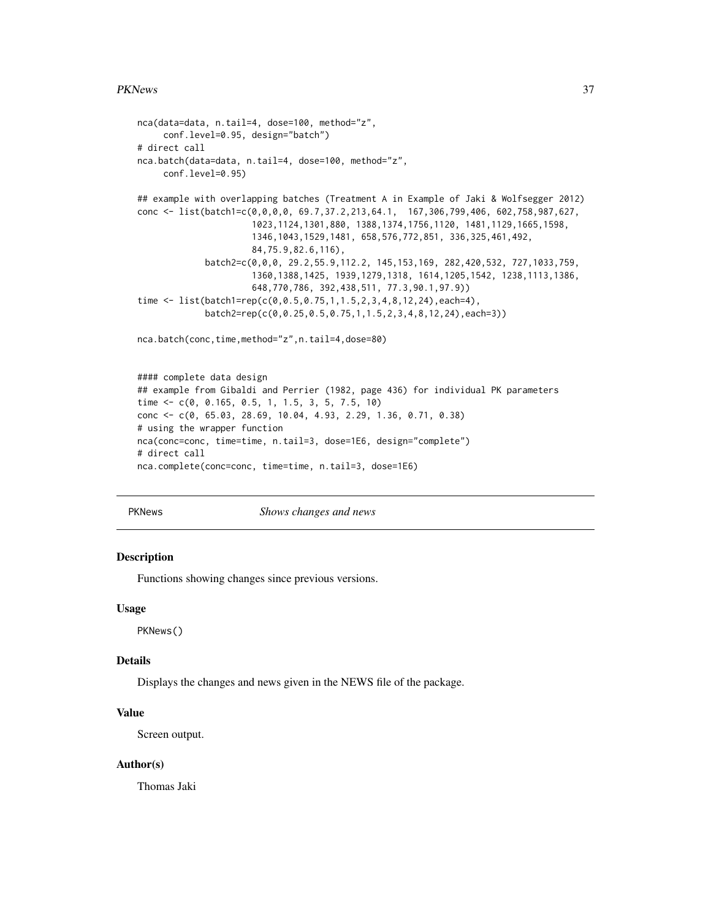#### <span id="page-36-0"></span>PKNews 37

```
nca(data=data, n.tail=4, dose=100, method="z",
     conf.level=0.95, design="batch")
# direct call
nca.batch(data=data, n.tail=4, dose=100, method="z",
     conf.level=0.95)
## example with overlapping batches (Treatment A in Example of Jaki & Wolfsegger 2012)
conc <- list(batch1=c(0,0,0,0, 69.7,37.2,213,64.1, 167,306,799,406, 602,758,987,627,
                      1023,1124,1301,880, 1388,1374,1756,1120, 1481,1129,1665,1598,
                      1346,1043,1529,1481, 658,576,772,851, 336,325,461,492,
                      84,75.9,82.6,116),
             batch2=c(0,0,0, 29.2,55.9,112.2, 145,153,169, 282,420,532, 727,1033,759,
                      1360,1388,1425, 1939,1279,1318, 1614,1205,1542, 1238,1113,1386,
                      648,770,786, 392,438,511, 77.3,90.1,97.9))
time <- list(batch1=rep(c(0,0.5,0.75,1,1.5,2,3,4,8,12,24),each=4),
             batch2=rep(c(0,0.25,0.5,0.75,1,1.5,2,3,4,8,12,24),each=3))
nca.batch(conc,time,method="z",n.tail=4,dose=80)
#### complete data design
## example from Gibaldi and Perrier (1982, page 436) for individual PK parameters
time <- c(0, 0.165, 0.5, 1, 1.5, 3, 5, 7.5, 10)
conc <- c(0, 65.03, 28.69, 10.04, 4.93, 2.29, 1.36, 0.71, 0.38)
# using the wrapper function
nca(conc=conc, time=time, n.tail=3, dose=1E6, design="complete")
# direct call
```

```
nca.complete(conc=conc, time=time, n.tail=3, dose=1E6)
```

| PKNews |  |
|--------|--|
|--------|--|

**Shows changes and news** 

#### Description

Functions showing changes since previous versions.

#### Usage

PKNews()

#### Details

Displays the changes and news given in the NEWS file of the package.

#### Value

Screen output.

#### Author(s)

Thomas Jaki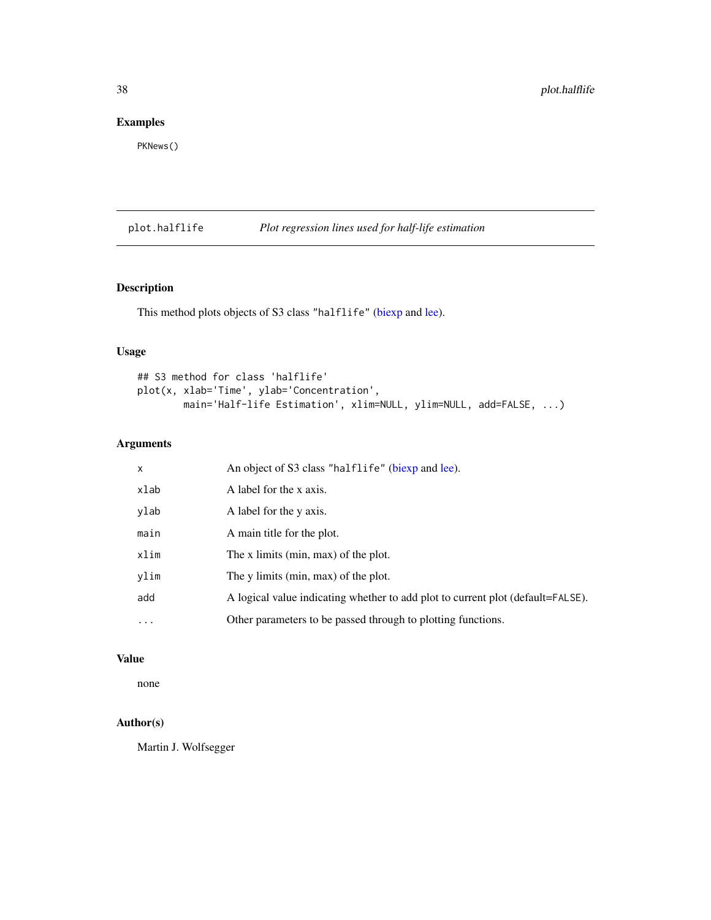#### <span id="page-37-0"></span>Examples

PKNews()

### plot.halflife *Plot regression lines used for half-life estimation*

#### Description

This method plots objects of S3 class "halflife" [\(biexp](#page-14-1) and [lee\)](#page-29-1).

#### Usage

```
## S3 method for class 'halflife'
plot(x, xlab='Time', ylab='Concentration',
        main='Half-life Estimation', xlim=NULL, ylim=NULL, add=FALSE, ...)
```
#### Arguments

| x        | An object of S3 class "halflife" (biexp and lee).                               |
|----------|---------------------------------------------------------------------------------|
| xlab     | A label for the x axis.                                                         |
| ylab     | A label for the y axis.                                                         |
| main     | A main title for the plot.                                                      |
| xlim     | The x limits (min, max) of the plot.                                            |
| ylim     | The y limits (min, max) of the plot.                                            |
| add      | A logical value indicating whether to add plot to current plot (default=FALSE). |
| $\cdots$ | Other parameters to be passed through to plotting functions.                    |

#### Value

none

#### Author(s)

Martin J. Wolfsegger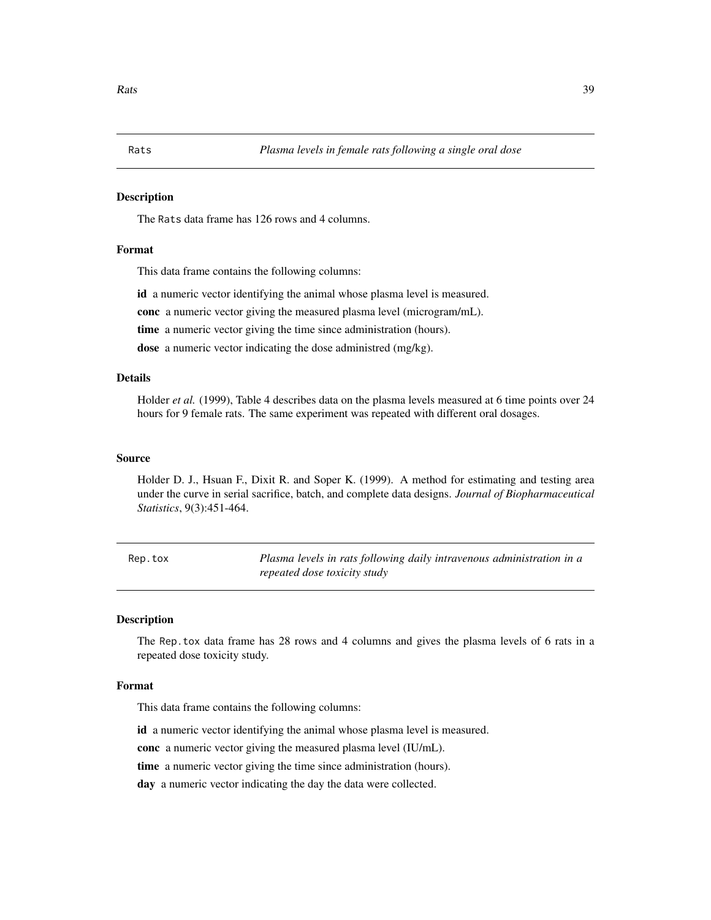#### <span id="page-38-0"></span>**Description**

The Rats data frame has 126 rows and 4 columns.

#### Format

This data frame contains the following columns:

id a numeric vector identifying the animal whose plasma level is measured.

conc a numeric vector giving the measured plasma level (microgram/mL).

time a numeric vector giving the time since administration (hours).

dose a numeric vector indicating the dose administred (mg/kg).

#### Details

Holder *et al.* (1999), Table 4 describes data on the plasma levels measured at 6 time points over 24 hours for 9 female rats. The same experiment was repeated with different oral dosages.

#### Source

Holder D. J., Hsuan F., Dixit R. and Soper K. (1999). A method for estimating and testing area under the curve in serial sacrifice, batch, and complete data designs. *Journal of Biopharmaceutical Statistics*, 9(3):451-464.

Rep.tox *Plasma levels in rats following daily intravenous administration in a repeated dose toxicity study*

#### Description

The Rep.tox data frame has 28 rows and 4 columns and gives the plasma levels of 6 rats in a repeated dose toxicity study.

#### Format

This data frame contains the following columns:

id a numeric vector identifying the animal whose plasma level is measured.

conc a numeric vector giving the measured plasma level (IU/mL).

time a numeric vector giving the time since administration (hours).

day a numeric vector indicating the day the data were collected.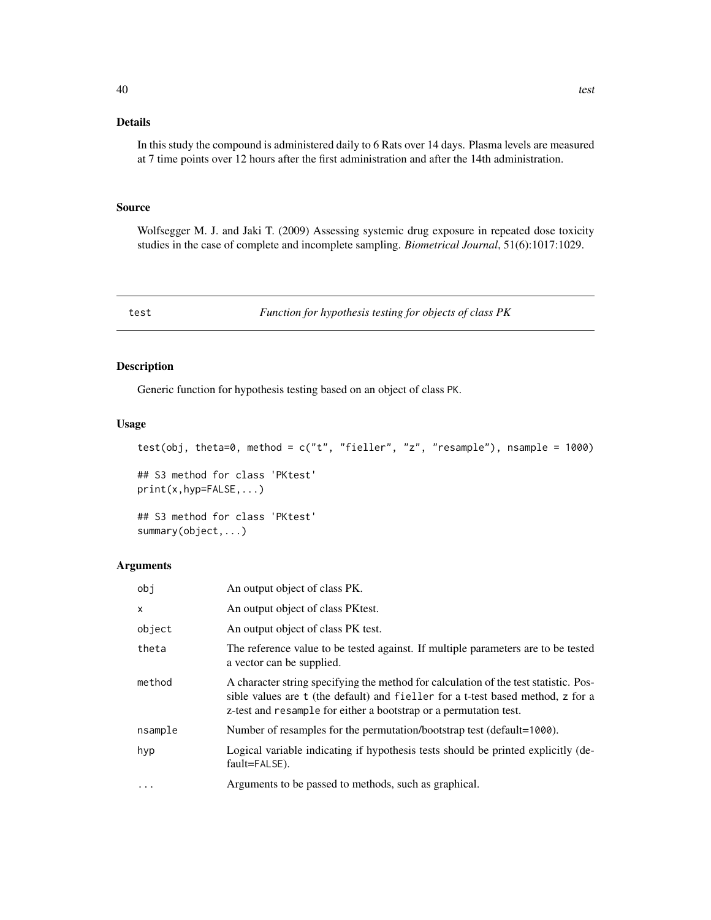#### <span id="page-39-0"></span>Details

In this study the compound is administered daily to 6 Rats over 14 days. Plasma levels are measured at 7 time points over 12 hours after the first administration and after the 14th administration.

#### Source

Wolfsegger M. J. and Jaki T. (2009) Assessing systemic drug exposure in repeated dose toxicity studies in the case of complete and incomplete sampling. *Biometrical Journal*, 51(6):1017:1029.

<span id="page-39-1"></span>test *Function for hypothesis testing for objects of class PK*

#### Description

Generic function for hypothesis testing based on an object of class PK.

#### Usage

```
test(obj, theta=0, method = c("t", "fielder", "z", "resample"), nsample = 1000)## S3 method for class 'PKtest'
print(x,hyp=FALSE,...)
```
## S3 method for class 'PKtest' summary(object,...)

#### Arguments

| obj          | An output object of class PK.                                                                                                                                                                                                                |
|--------------|----------------------------------------------------------------------------------------------------------------------------------------------------------------------------------------------------------------------------------------------|
| $\mathsf{x}$ | An output object of class PK test.                                                                                                                                                                                                           |
| object       | An output object of class PK test.                                                                                                                                                                                                           |
| theta        | The reference value to be tested against. If multiple parameters are to be tested<br>a vector can be supplied.                                                                                                                               |
| method       | A character string specifying the method for calculation of the test statistic. Pos-<br>sible values are t (the default) and fieller for a t-test based method, z for a<br>z-test and resample for either a bootstrap or a permutation test. |
| nsample      | Number of resamples for the permutation/bootstrap test (default=1000).                                                                                                                                                                       |
| hyp          | Logical variable indicating if hypothesis tests should be printed explicitly (de-<br>fault=FALSE).                                                                                                                                           |
| $\cdots$     | Arguments to be passed to methods, such as graphical.                                                                                                                                                                                        |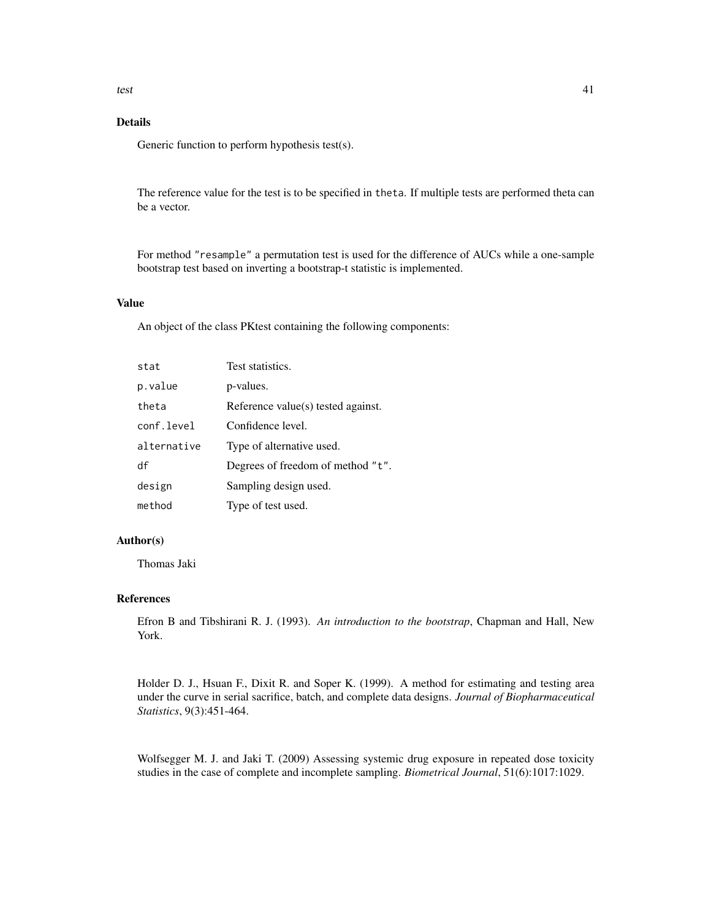#### Details

Generic function to perform hypothesis test(s).

The reference value for the test is to be specified in theta. If multiple tests are performed theta can be a vector.

For method "resample" a permutation test is used for the difference of AUCs while a one-sample bootstrap test based on inverting a bootstrap-t statistic is implemented.

#### Value

An object of the class PKtest containing the following components:

| stat        | Test statistics.                   |
|-------------|------------------------------------|
| p.value     | p-values.                          |
| theta       | Reference value(s) tested against. |
| conf.level  | Confidence level.                  |
| alternative | Type of alternative used.          |
| df          | Degrees of freedom of method "t".  |
| design      | Sampling design used.              |
| method      | Type of test used.                 |

#### Author(s)

Thomas Jaki

#### References

Efron B and Tibshirani R. J. (1993). *An introduction to the bootstrap*, Chapman and Hall, New York.

Holder D. J., Hsuan F., Dixit R. and Soper K. (1999). A method for estimating and testing area under the curve in serial sacrifice, batch, and complete data designs. *Journal of Biopharmaceutical Statistics*, 9(3):451-464.

Wolfsegger M. J. and Jaki T. (2009) Assessing systemic drug exposure in repeated dose toxicity studies in the case of complete and incomplete sampling. *Biometrical Journal*, 51(6):1017:1029.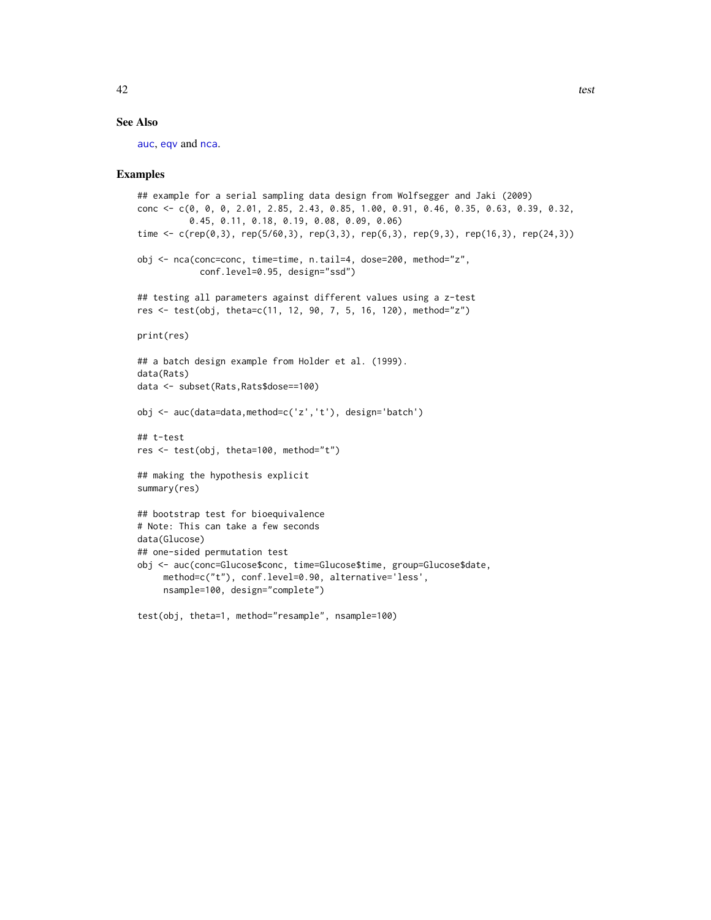#### <span id="page-41-0"></span>See Also

[auc](#page-4-2), [eqv](#page-22-1) and [nca](#page-32-1).

#### Examples

```
## example for a serial sampling data design from Wolfsegger and Jaki (2009)
conc <- c(0, 0, 0, 2.01, 2.85, 2.43, 0.85, 1.00, 0.91, 0.46, 0.35, 0.63, 0.39, 0.32,
          0.45, 0.11, 0.18, 0.19, 0.08, 0.09, 0.06)
time <- c(rep(0,3), rep(5/60,3), rep(3,3), rep(6,3), rep(9,3), rep(16,3), rep(24,3))
obj <- nca(conc=conc, time=time, n.tail=4, dose=200, method="z",
            conf.level=0.95, design="ssd")
## testing all parameters against different values using a z-test
res <- test(obj, theta=c(11, 12, 90, 7, 5, 16, 120), method="z")
print(res)
## a batch design example from Holder et al. (1999).
data(Rats)
data <- subset(Rats,Rats$dose==100)
obj <- auc(data=data,method=c('z','t'), design='batch')
## t-test
res <- test(obj, theta=100, method="t")
## making the hypothesis explicit
summary(res)
## bootstrap test for bioequivalence
# Note: This can take a few seconds
data(Glucose)
## one-sided permutation test
obj <- auc(conc=Glucose$conc, time=Glucose$time, group=Glucose$date,
     method=c("t"), conf.level=0.90, alternative='less',
     nsample=100, design="complete")
```
test(obj, theta=1, method="resample", nsample=100)